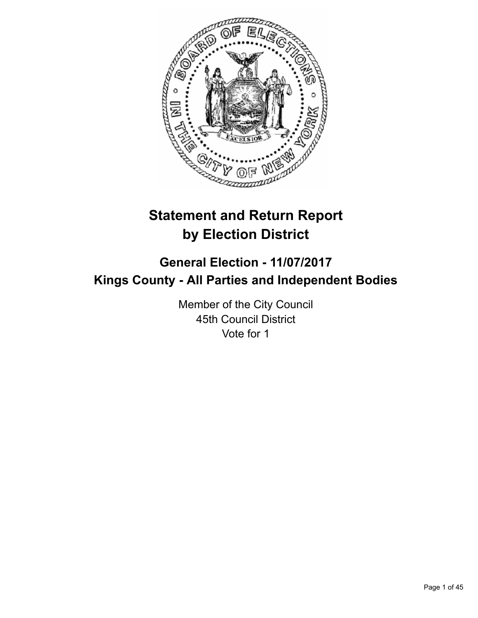

# **Statement and Return Report by Election District**

# **General Election - 11/07/2017 Kings County - All Parties and Independent Bodies**

Member of the City Council 45th Council District Vote for 1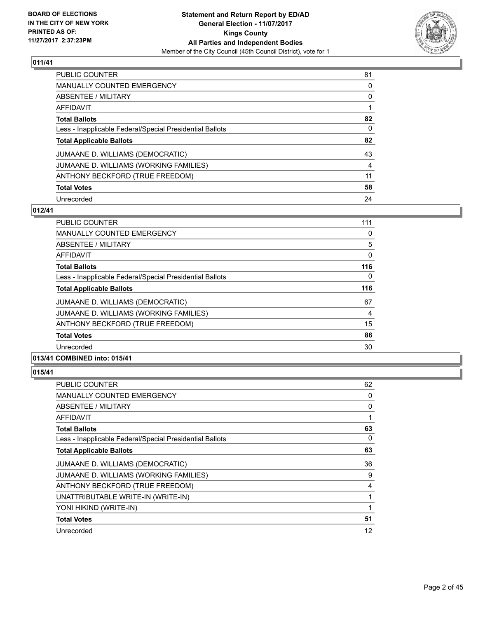

| <b>PUBLIC COUNTER</b>                                    | 81 |
|----------------------------------------------------------|----|
| <b>MANUALLY COUNTED EMERGENCY</b>                        | 0  |
| ABSENTEE / MILITARY                                      | 0  |
| AFFIDAVIT                                                |    |
| <b>Total Ballots</b>                                     | 82 |
| Less - Inapplicable Federal/Special Presidential Ballots | 0  |
| <b>Total Applicable Ballots</b>                          | 82 |
| JUMAANE D. WILLIAMS (DEMOCRATIC)                         | 43 |
| JUMAANE D. WILLIAMS (WORKING FAMILIES)                   | 4  |
| ANTHONY BECKFORD (TRUE FREEDOM)                          | 11 |
| <b>Total Votes</b>                                       | 58 |
| Unrecorded                                               | 24 |

#### **012/41**

| <b>Total Votes</b>                                       | 86  |
|----------------------------------------------------------|-----|
| ANTHONY BECKFORD (TRUE FREEDOM)                          | 15  |
| JUMAANE D. WILLIAMS (WORKING FAMILIES)                   | 4   |
| JUMAANE D. WILLIAMS (DEMOCRATIC)                         | 67  |
| <b>Total Applicable Ballots</b>                          | 116 |
| Less - Inapplicable Federal/Special Presidential Ballots | 0   |
| <b>Total Ballots</b>                                     | 116 |
| AFFIDAVIT                                                | 0   |
| ABSENTEE / MILITARY                                      | 5   |
| <b>MANUALLY COUNTED EMERGENCY</b>                        | 0   |
| <b>PUBLIC COUNTER</b>                                    | 111 |

| <b>PUBLIC COUNTER</b>                                    | 62 |
|----------------------------------------------------------|----|
| <b>MANUALLY COUNTED EMERGENCY</b>                        | 0  |
| ABSENTEE / MILITARY                                      | 0  |
| AFFIDAVIT                                                | 1  |
| <b>Total Ballots</b>                                     | 63 |
| Less - Inapplicable Federal/Special Presidential Ballots | 0  |
| <b>Total Applicable Ballots</b>                          | 63 |
| JUMAANE D. WILLIAMS (DEMOCRATIC)                         | 36 |
| JUMAANE D. WILLIAMS (WORKING FAMILIES)                   | 9  |
| ANTHONY BECKFORD (TRUE FREEDOM)                          | 4  |
| UNATTRIBUTABLE WRITE-IN (WRITE-IN)                       | 1  |
| YONI HIKIND (WRITE-IN)                                   | 1  |
| <b>Total Votes</b>                                       | 51 |
| Unrecorded                                               | 12 |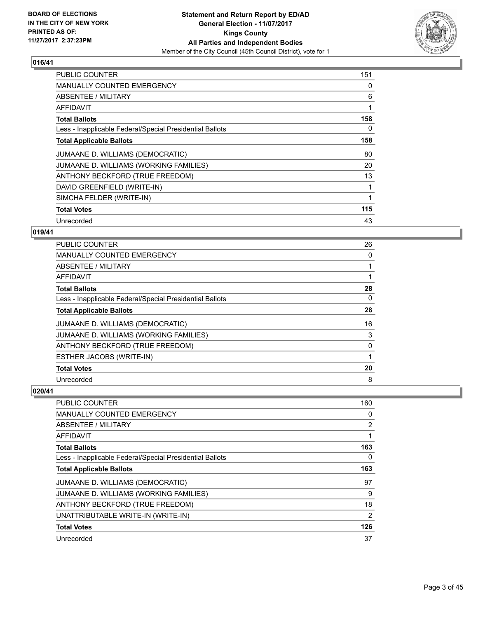

| <b>PUBLIC COUNTER</b>                                    | 151 |
|----------------------------------------------------------|-----|
| <b>MANUALLY COUNTED EMERGENCY</b>                        | 0   |
| <b>ABSENTEE / MILITARY</b>                               | 6   |
| <b>AFFIDAVIT</b>                                         | 1   |
| <b>Total Ballots</b>                                     | 158 |
| Less - Inapplicable Federal/Special Presidential Ballots | 0   |
| <b>Total Applicable Ballots</b>                          | 158 |
| JUMAANE D. WILLIAMS (DEMOCRATIC)                         | 80  |
| JUMAANE D. WILLIAMS (WORKING FAMILIES)                   | 20  |
| ANTHONY BECKFORD (TRUE FREEDOM)                          | 13  |
| DAVID GREENFIELD (WRITE-IN)                              | 1   |
| SIMCHA FELDER (WRITE-IN)                                 | 1   |
| <b>Total Votes</b>                                       | 115 |
| Unrecorded                                               | 43  |

# **019/41**

| <b>PUBLIC COUNTER</b>                                    | 26 |
|----------------------------------------------------------|----|
| <b>MANUALLY COUNTED EMERGENCY</b>                        | 0  |
| ABSENTEE / MILITARY                                      |    |
| AFFIDAVIT                                                |    |
| <b>Total Ballots</b>                                     | 28 |
| Less - Inapplicable Federal/Special Presidential Ballots | 0  |
| <b>Total Applicable Ballots</b>                          | 28 |
| JUMAANE D. WILLIAMS (DEMOCRATIC)                         | 16 |
| JUMAANE D. WILLIAMS (WORKING FAMILIES)                   | 3  |
| ANTHONY BECKFORD (TRUE FREEDOM)                          | 0  |
| ESTHER JACOBS (WRITE-IN)                                 |    |
| <b>Total Votes</b>                                       | 20 |
| Unrecorded                                               | 8  |

| <b>PUBLIC COUNTER</b>                                    | 160            |
|----------------------------------------------------------|----------------|
| <b>MANUALLY COUNTED EMERGENCY</b>                        | 0              |
| ABSENTEE / MILITARY                                      | $\overline{2}$ |
| <b>AFFIDAVIT</b>                                         |                |
| <b>Total Ballots</b>                                     | 163            |
| Less - Inapplicable Federal/Special Presidential Ballots | 0              |
| <b>Total Applicable Ballots</b>                          | 163            |
| JUMAANE D. WILLIAMS (DEMOCRATIC)                         | 97             |
| JUMAANE D. WILLIAMS (WORKING FAMILIES)                   | 9              |
| ANTHONY BECKFORD (TRUE FREEDOM)                          | 18             |
| UNATTRIBUTABLE WRITE-IN (WRITE-IN)                       | 2              |
| <b>Total Votes</b>                                       | 126            |
| Unrecorded                                               | 37             |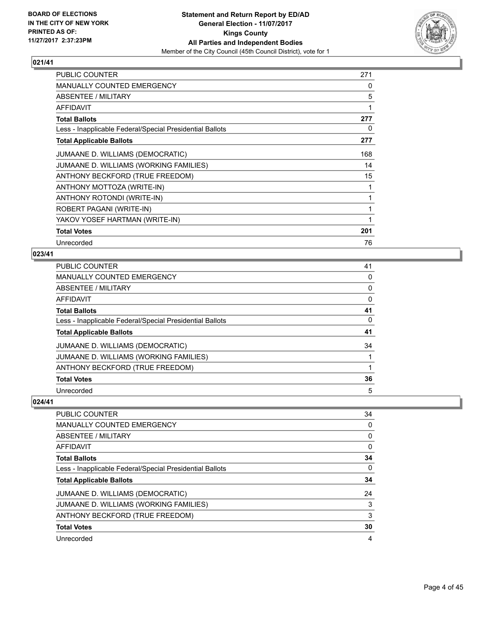

| <b>PUBLIC COUNTER</b>                                    | 271 |
|----------------------------------------------------------|-----|
| <b>MANUALLY COUNTED EMERGENCY</b>                        | 0   |
| ABSENTEE / MILITARY                                      | 5   |
| <b>AFFIDAVIT</b>                                         | 1   |
| <b>Total Ballots</b>                                     | 277 |
| Less - Inapplicable Federal/Special Presidential Ballots | 0   |
| <b>Total Applicable Ballots</b>                          | 277 |
| JUMAANE D. WILLIAMS (DEMOCRATIC)                         | 168 |
| JUMAANE D. WILLIAMS (WORKING FAMILIES)                   | 14  |
| ANTHONY BECKFORD (TRUE FREEDOM)                          | 15  |
| ANTHONY MOTTOZA (WRITE-IN)                               | 1   |
| ANTHONY ROTONDI (WRITE-IN)                               | 1   |
| ROBERT PAGANI (WRITE-IN)                                 | 1   |
| YAKOV YOSEF HARTMAN (WRITE-IN)                           | 1   |
| <b>Total Votes</b>                                       | 201 |
| Unrecorded                                               | 76  |

# **023/41**

| PUBLIC COUNTER                                           | 41 |
|----------------------------------------------------------|----|
| <b>MANUALLY COUNTED EMERGENCY</b>                        | 0  |
| ABSENTEE / MILITARY                                      | 0  |
| AFFIDAVIT                                                | 0  |
| <b>Total Ballots</b>                                     | 41 |
| Less - Inapplicable Federal/Special Presidential Ballots | 0  |
| <b>Total Applicable Ballots</b>                          | 41 |
| JUMAANE D. WILLIAMS (DEMOCRATIC)                         | 34 |
| JUMAANE D. WILLIAMS (WORKING FAMILIES)                   |    |
| ANTHONY BECKFORD (TRUE FREEDOM)                          |    |
| <b>Total Votes</b>                                       | 36 |
| Unrecorded                                               | 5  |

| 34 |
|----|
| 0  |
| 0  |
| 0  |
| 34 |
| 0  |
| 34 |
| 24 |
| 3  |
| 3  |
| 30 |
| 4  |
|    |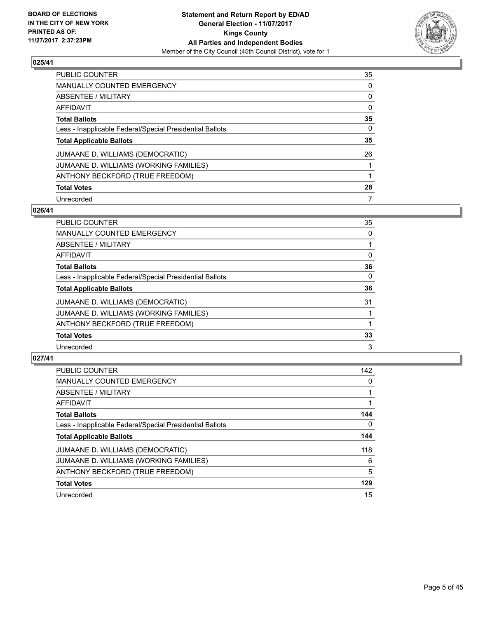

| <b>PUBLIC COUNTER</b>                                    | 35 |
|----------------------------------------------------------|----|
| <b>MANUALLY COUNTED EMERGENCY</b>                        | 0  |
| <b>ABSENTEE / MILITARY</b>                               | 0  |
| AFFIDAVIT                                                | 0  |
| <b>Total Ballots</b>                                     | 35 |
| Less - Inapplicable Federal/Special Presidential Ballots | 0  |
| <b>Total Applicable Ballots</b>                          | 35 |
| JUMAANE D. WILLIAMS (DEMOCRATIC)                         | 26 |
| JUMAANE D. WILLIAMS (WORKING FAMILIES)                   |    |
| ANTHONY BECKFORD (TRUE FREEDOM)                          |    |
| <b>Total Votes</b>                                       | 28 |
| Unrecorded                                               | 7  |

#### **026/41**

| 35       |
|----------|
| 0        |
|          |
| 0        |
| 36       |
| $\Omega$ |
| 36       |
| 31       |
|          |
|          |
| 33       |
| 3        |
|          |

| <b>PUBLIC COUNTER</b>                                    | 142 |
|----------------------------------------------------------|-----|
| <b>MANUALLY COUNTED EMERGENCY</b>                        | 0   |
| ABSENTEE / MILITARY                                      |     |
| AFFIDAVIT                                                |     |
| <b>Total Ballots</b>                                     | 144 |
| Less - Inapplicable Federal/Special Presidential Ballots | 0   |
| <b>Total Applicable Ballots</b>                          | 144 |
| JUMAANE D. WILLIAMS (DEMOCRATIC)                         | 118 |
| JUMAANE D. WILLIAMS (WORKING FAMILIES)                   | 6   |
| ANTHONY BECKFORD (TRUE FREEDOM)                          | 5   |
| <b>Total Votes</b>                                       | 129 |
| Unrecorded                                               | 15  |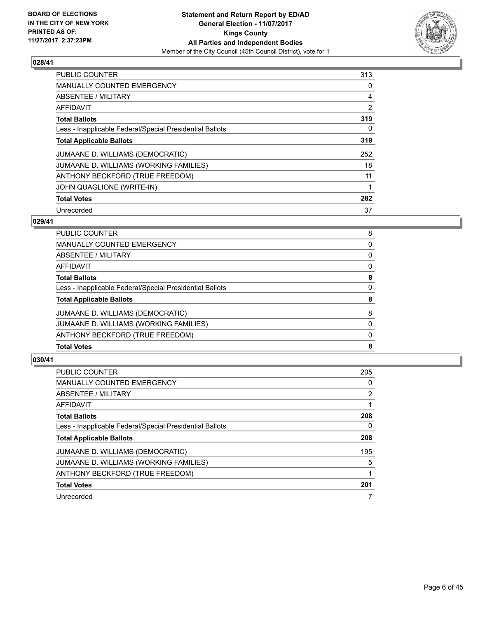

| <b>PUBLIC COUNTER</b>                                    | 313 |
|----------------------------------------------------------|-----|
| MANUALLY COUNTED EMERGENCY                               | 0   |
| ABSENTEE / MILITARY                                      | 4   |
| <b>AFFIDAVIT</b>                                         | 2   |
| <b>Total Ballots</b>                                     | 319 |
| Less - Inapplicable Federal/Special Presidential Ballots | 0   |
| <b>Total Applicable Ballots</b>                          | 319 |
| JUMAANE D. WILLIAMS (DEMOCRATIC)                         | 252 |
| JUMAANE D. WILLIAMS (WORKING FAMILIES)                   | 18  |
| ANTHONY BECKFORD (TRUE FREEDOM)                          | 11  |
| JOHN QUAGLIONE (WRITE-IN)                                |     |
| <b>Total Votes</b>                                       | 282 |
| Unrecorded                                               | 37  |

#### **029/41**

| <b>Total Votes</b>                                       | 8 |
|----------------------------------------------------------|---|
| ANTHONY BECKFORD (TRUE FREEDOM)                          | 0 |
| JUMAANE D. WILLIAMS (WORKING FAMILIES)                   | 0 |
| JUMAANE D. WILLIAMS (DEMOCRATIC)                         | 8 |
| <b>Total Applicable Ballots</b>                          | 8 |
| Less - Inapplicable Federal/Special Presidential Ballots | 0 |
| <b>Total Ballots</b>                                     | 8 |
| <b>AFFIDAVIT</b>                                         | 0 |
| ABSENTEE / MILITARY                                      | 0 |
| <b>MANUALLY COUNTED EMERGENCY</b>                        | 0 |
| PUBLIC COUNTER                                           | 8 |

| <b>PUBLIC COUNTER</b>                                    | 205 |
|----------------------------------------------------------|-----|
| <b>MANUALLY COUNTED EMERGENCY</b>                        | 0   |
| ABSENTEE / MILITARY                                      | 2   |
| AFFIDAVIT                                                |     |
| <b>Total Ballots</b>                                     | 208 |
| Less - Inapplicable Federal/Special Presidential Ballots | 0   |
| <b>Total Applicable Ballots</b>                          | 208 |
| JUMAANE D. WILLIAMS (DEMOCRATIC)                         | 195 |
| JUMAANE D. WILLIAMS (WORKING FAMILIES)                   | 5   |
| ANTHONY BECKFORD (TRUE FREEDOM)                          |     |
| <b>Total Votes</b>                                       | 201 |
| Unrecorded                                               |     |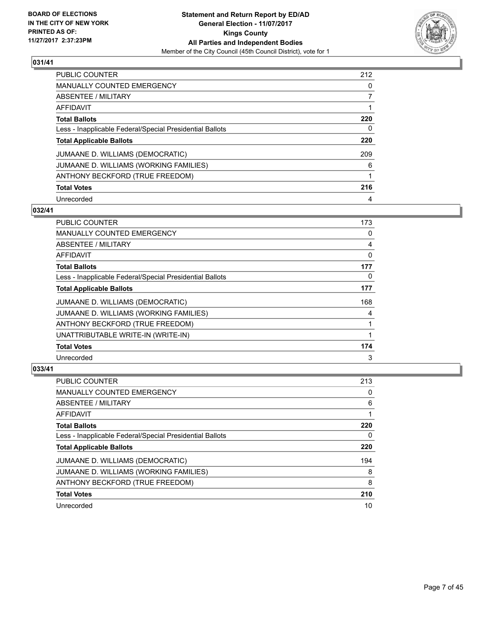

| <b>PUBLIC COUNTER</b>                                    | 212 |
|----------------------------------------------------------|-----|
| <b>MANUALLY COUNTED EMERGENCY</b>                        | 0   |
| ABSENTEE / MILITARY                                      |     |
| AFFIDAVIT                                                |     |
| <b>Total Ballots</b>                                     | 220 |
| Less - Inapplicable Federal/Special Presidential Ballots | 0   |
| <b>Total Applicable Ballots</b>                          | 220 |
| JUMAANE D. WILLIAMS (DEMOCRATIC)                         | 209 |
|                                                          |     |
| JUMAANE D. WILLIAMS (WORKING FAMILIES)                   | 6   |
| ANTHONY BECKFORD (TRUE FREEDOM)                          |     |
| <b>Total Votes</b>                                       | 216 |

#### **032/41**

| PUBLIC COUNTER                                           | 173 |
|----------------------------------------------------------|-----|
| <b>MANUALLY COUNTED EMERGENCY</b>                        | 0   |
| ABSENTEE / MILITARY                                      | 4   |
| AFFIDAVIT                                                | 0   |
| <b>Total Ballots</b>                                     | 177 |
| Less - Inapplicable Federal/Special Presidential Ballots | 0   |
| <b>Total Applicable Ballots</b>                          | 177 |
| JUMAANE D. WILLIAMS (DEMOCRATIC)                         | 168 |
| JUMAANE D. WILLIAMS (WORKING FAMILIES)                   | 4   |
| ANTHONY BECKFORD (TRUE FREEDOM)                          |     |
| UNATTRIBUTABLE WRITE-IN (WRITE-IN)                       | 1   |
| <b>Total Votes</b>                                       | 174 |
| Unrecorded                                               | 3   |

| <b>PUBLIC COUNTER</b>                                    | 213 |
|----------------------------------------------------------|-----|
| <b>MANUALLY COUNTED EMERGENCY</b>                        | 0   |
| ABSENTEE / MILITARY                                      | 6   |
| AFFIDAVIT                                                |     |
| <b>Total Ballots</b>                                     | 220 |
| Less - Inapplicable Federal/Special Presidential Ballots | 0   |
|                                                          |     |
| <b>Total Applicable Ballots</b>                          | 220 |
| JUMAANE D. WILLIAMS (DEMOCRATIC)                         | 194 |
| JUMAANE D. WILLIAMS (WORKING FAMILIES)                   | 8   |
| ANTHONY BECKFORD (TRUE FREEDOM)                          | 8   |
| <b>Total Votes</b>                                       | 210 |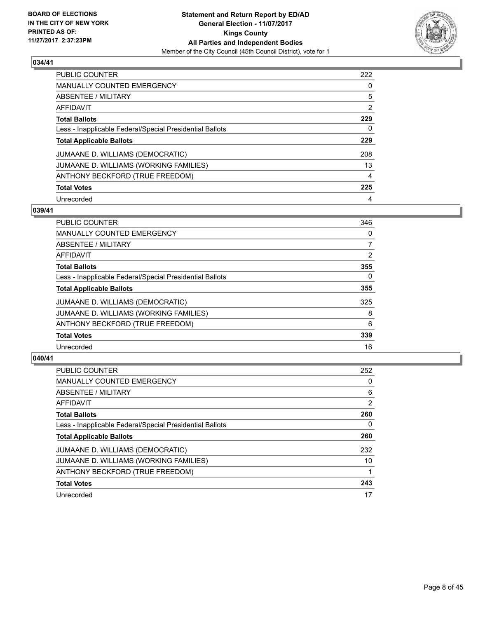

| <b>PUBLIC COUNTER</b>                                    | 222 |
|----------------------------------------------------------|-----|
| <b>MANUALLY COUNTED EMERGENCY</b>                        | 0   |
| ABSENTEE / MILITARY                                      | 5   |
| AFFIDAVIT                                                | 2   |
| <b>Total Ballots</b>                                     | 229 |
| Less - Inapplicable Federal/Special Presidential Ballots | 0   |
| <b>Total Applicable Ballots</b>                          | 229 |
| JUMAANE D. WILLIAMS (DEMOCRATIC)                         | 208 |
| JUMAANE D. WILLIAMS (WORKING FAMILIES)                   | 13  |
| ANTHONY BECKFORD (TRUE FREEDOM)                          | 4   |
| <b>Total Votes</b>                                       | 225 |
| Unrecorded                                               | 4   |

#### **039/41**

| <b>PUBLIC COUNTER</b>                                    | 346 |
|----------------------------------------------------------|-----|
| <b>MANUALLY COUNTED EMERGENCY</b>                        | 0   |
| ABSENTEE / MILITARY                                      | 7   |
| <b>AFFIDAVIT</b>                                         | 2   |
| <b>Total Ballots</b>                                     | 355 |
| Less - Inapplicable Federal/Special Presidential Ballots | 0   |
| <b>Total Applicable Ballots</b>                          | 355 |
| JUMAANE D. WILLIAMS (DEMOCRATIC)                         | 325 |
| JUMAANE D. WILLIAMS (WORKING FAMILIES)                   | 8   |
| ANTHONY BECKFORD (TRUE FREEDOM)                          | 6   |
| <b>Total Votes</b>                                       | 339 |
| Unrecorded                                               | 16  |

| <b>PUBLIC COUNTER</b>                                    | 252            |
|----------------------------------------------------------|----------------|
| <b>MANUALLY COUNTED EMERGENCY</b>                        | 0              |
| ABSENTEE / MILITARY                                      | 6              |
| AFFIDAVIT                                                | $\overline{2}$ |
| <b>Total Ballots</b>                                     | 260            |
| Less - Inapplicable Federal/Special Presidential Ballots | 0              |
| <b>Total Applicable Ballots</b>                          | 260            |
| JUMAANE D. WILLIAMS (DEMOCRATIC)                         | 232            |
| JUMAANE D. WILLIAMS (WORKING FAMILIES)                   | 10             |
| ANTHONY BECKFORD (TRUE FREEDOM)                          |                |
| <b>Total Votes</b>                                       | 243            |
| Unrecorded                                               | 17             |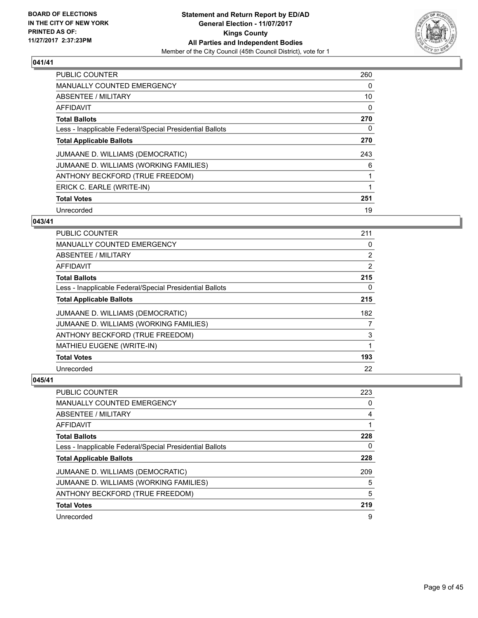

| <b>PUBLIC COUNTER</b>                                    | 260 |
|----------------------------------------------------------|-----|
| <b>MANUALLY COUNTED EMERGENCY</b>                        | 0   |
| ABSENTEE / MILITARY                                      | 10  |
| AFFIDAVIT                                                | 0   |
| <b>Total Ballots</b>                                     | 270 |
| Less - Inapplicable Federal/Special Presidential Ballots | 0   |
| <b>Total Applicable Ballots</b>                          | 270 |
| JUMAANE D. WILLIAMS (DEMOCRATIC)                         | 243 |
| JUMAANE D. WILLIAMS (WORKING FAMILIES)                   | 6   |
| ANTHONY BECKFORD (TRUE FREEDOM)                          |     |
| ERICK C. EARLE (WRITE-IN)                                |     |
| <b>Total Votes</b>                                       | 251 |
| Unrecorded                                               | 19  |

# **043/41**

| <b>PUBLIC COUNTER</b>                                    | 211            |
|----------------------------------------------------------|----------------|
| <b>MANUALLY COUNTED EMERGENCY</b>                        | 0              |
| ABSENTEE / MILITARY                                      | $\overline{2}$ |
| AFFIDAVIT                                                | 2              |
| <b>Total Ballots</b>                                     | 215            |
| Less - Inapplicable Federal/Special Presidential Ballots | 0              |
| <b>Total Applicable Ballots</b>                          | 215            |
| JUMAANE D. WILLIAMS (DEMOCRATIC)                         | 182            |
| JUMAANE D. WILLIAMS (WORKING FAMILIES)                   | 7              |
| ANTHONY BECKFORD (TRUE FREEDOM)                          | 3              |
| MATHIEU EUGENE (WRITE-IN)                                | 1              |
| <b>Total Votes</b>                                       | 193            |
| Unrecorded                                               | 22             |

| <b>PUBLIC COUNTER</b>                                    | 223 |
|----------------------------------------------------------|-----|
| <b>MANUALLY COUNTED EMERGENCY</b>                        | 0   |
| ABSENTEE / MILITARY                                      | 4   |
| AFFIDAVIT                                                |     |
| <b>Total Ballots</b>                                     | 228 |
| Less - Inapplicable Federal/Special Presidential Ballots | 0   |
| <b>Total Applicable Ballots</b>                          | 228 |
| JUMAANE D. WILLIAMS (DEMOCRATIC)                         | 209 |
| JUMAANE D. WILLIAMS (WORKING FAMILIES)                   | 5   |
| ANTHONY BECKFORD (TRUE FREEDOM)                          | 5   |
| <b>Total Votes</b>                                       | 219 |
| Unrecorded                                               | 9   |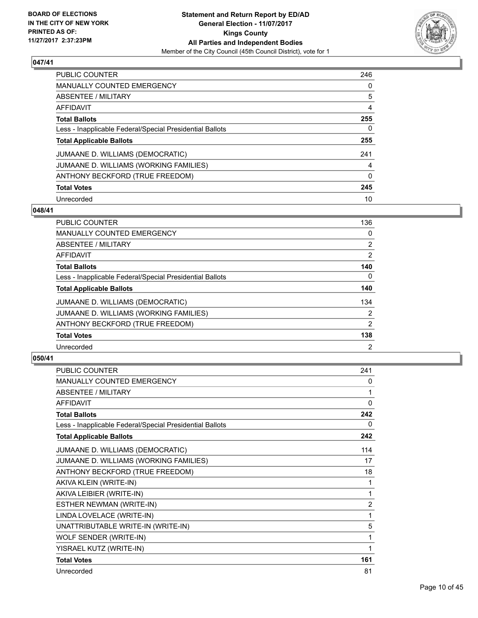

| PUBLIC COUNTER                                           | 246      |
|----------------------------------------------------------|----------|
| <b>MANUALLY COUNTED EMERGENCY</b>                        | 0        |
| ABSENTEE / MILITARY                                      | 5        |
| AFFIDAVIT                                                | 4        |
| <b>Total Ballots</b>                                     | 255      |
| Less - Inapplicable Federal/Special Presidential Ballots | 0        |
| <b>Total Applicable Ballots</b>                          | 255      |
| JUMAANE D. WILLIAMS (DEMOCRATIC)                         | 241      |
| JUMAANE D. WILLIAMS (WORKING FAMILIES)                   | 4        |
| ANTHONY BECKFORD (TRUE FREEDOM)                          | $\Omega$ |
| <b>Total Votes</b>                                       | 245      |
| Unrecorded                                               | 10       |

#### **048/41**

| <b>PUBLIC COUNTER</b>                                    | 136            |
|----------------------------------------------------------|----------------|
| <b>MANUALLY COUNTED EMERGENCY</b>                        | 0              |
| ABSENTEE / MILITARY                                      | $\overline{2}$ |
| <b>AFFIDAVIT</b>                                         | $\overline{2}$ |
| <b>Total Ballots</b>                                     | 140            |
| Less - Inapplicable Federal/Special Presidential Ballots | $\Omega$       |
| <b>Total Applicable Ballots</b>                          | 140            |
| JUMAANE D. WILLIAMS (DEMOCRATIC)                         | 134            |
| JUMAANE D. WILLIAMS (WORKING FAMILIES)                   | $\overline{2}$ |
| ANTHONY BECKFORD (TRUE FREEDOM)                          | 2              |
| <b>Total Votes</b>                                       | 138            |
| Unrecorded                                               | $\overline{2}$ |

| <b>PUBLIC COUNTER</b>                                    | 241            |
|----------------------------------------------------------|----------------|
| <b>MANUALLY COUNTED EMERGENCY</b>                        | 0              |
| <b>ABSENTEE / MILITARY</b>                               | 1              |
| <b>AFFIDAVIT</b>                                         | 0              |
| <b>Total Ballots</b>                                     | 242            |
| Less - Inapplicable Federal/Special Presidential Ballots | 0              |
| <b>Total Applicable Ballots</b>                          | 242            |
| JUMAANE D. WILLIAMS (DEMOCRATIC)                         | 114            |
| JUMAANE D. WILLIAMS (WORKING FAMILIES)                   | 17             |
| ANTHONY BECKFORD (TRUE FREEDOM)                          | 18             |
| AKIVA KLEIN (WRITE-IN)                                   | 1              |
| AKIVA LEIBIER (WRITE-IN)                                 | 1              |
| ESTHER NEWMAN (WRITE-IN)                                 | $\overline{2}$ |
| LINDA LOVELACE (WRITE-IN)                                | 1              |
| UNATTRIBUTABLE WRITE-IN (WRITE-IN)                       | 5              |
| WOLF SENDER (WRITE-IN)                                   | 1              |
| YISRAEL KUTZ (WRITE-IN)                                  | 1              |
| <b>Total Votes</b>                                       | 161            |
| Unrecorded                                               | 81             |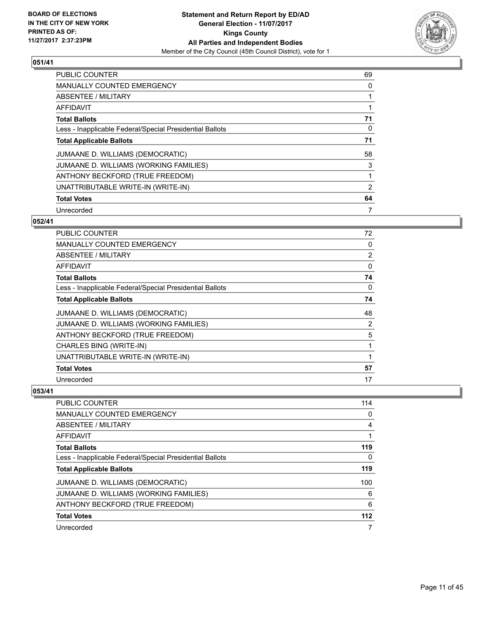

| <b>PUBLIC COUNTER</b>                                    | 69             |
|----------------------------------------------------------|----------------|
| <b>MANUALLY COUNTED EMERGENCY</b>                        | 0              |
| ABSENTEE / MILITARY                                      |                |
| <b>AFFIDAVIT</b>                                         |                |
| <b>Total Ballots</b>                                     | 71             |
| Less - Inapplicable Federal/Special Presidential Ballots | 0              |
| <b>Total Applicable Ballots</b>                          | 71             |
| JUMAANE D. WILLIAMS (DEMOCRATIC)                         | 58             |
| JUMAANE D. WILLIAMS (WORKING FAMILIES)                   | 3              |
| ANTHONY BECKFORD (TRUE FREEDOM)                          | 1              |
| UNATTRIBUTABLE WRITE-IN (WRITE-IN)                       | $\overline{2}$ |
| <b>Total Votes</b>                                       | 64             |
| Unrecorded                                               | 7              |

# **052/41**

| <b>PUBLIC COUNTER</b>                                    | 72 |
|----------------------------------------------------------|----|
| <b>MANUALLY COUNTED EMERGENCY</b>                        | 0  |
| ABSENTEE / MILITARY                                      | 2  |
| <b>AFFIDAVIT</b>                                         | 0  |
| <b>Total Ballots</b>                                     | 74 |
| Less - Inapplicable Federal/Special Presidential Ballots | 0  |
| <b>Total Applicable Ballots</b>                          | 74 |
| JUMAANE D. WILLIAMS (DEMOCRATIC)                         | 48 |
| JUMAANE D. WILLIAMS (WORKING FAMILIES)                   | 2  |
| ANTHONY BECKFORD (TRUE FREEDOM)                          | 5  |
| <b>CHARLES BING (WRITE-IN)</b>                           | 1  |
| UNATTRIBUTABLE WRITE-IN (WRITE-IN)                       | 1  |
| <b>Total Votes</b>                                       | 57 |
| Unrecorded                                               | 17 |

| PUBLIC COUNTER                                           | 114 |
|----------------------------------------------------------|-----|
| <b>MANUALLY COUNTED EMERGENCY</b>                        | 0   |
| <b>ABSENTEE / MILITARY</b>                               | 4   |
| AFFIDAVIT                                                |     |
| <b>Total Ballots</b>                                     | 119 |
| Less - Inapplicable Federal/Special Presidential Ballots | 0   |
| <b>Total Applicable Ballots</b>                          | 119 |
| JUMAANE D. WILLIAMS (DEMOCRATIC)                         | 100 |
| JUMAANE D. WILLIAMS (WORKING FAMILIES)                   | 6   |
| ANTHONY BECKFORD (TRUE FREEDOM)                          | 6   |
| <b>Total Votes</b>                                       | 112 |
| Unrecorded                                               | 7   |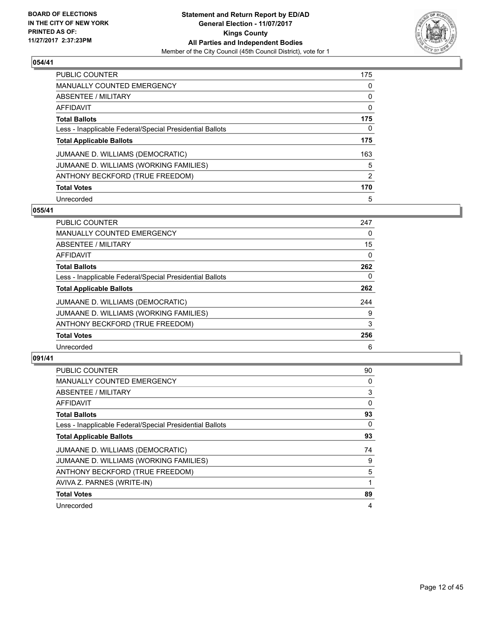

| <b>PUBLIC COUNTER</b>                                    | 175 |
|----------------------------------------------------------|-----|
| <b>MANUALLY COUNTED EMERGENCY</b>                        | 0   |
| ABSENTEE / MILITARY                                      | 0   |
| AFFIDAVIT                                                | 0   |
| <b>Total Ballots</b>                                     | 175 |
| Less - Inapplicable Federal/Special Presidential Ballots | 0   |
| <b>Total Applicable Ballots</b>                          | 175 |
| JUMAANE D. WILLIAMS (DEMOCRATIC)                         | 163 |
| JUMAANE D. WILLIAMS (WORKING FAMILIES)                   | 5   |
| ANTHONY BECKFORD (TRUE FREEDOM)                          | 2   |
| <b>Total Votes</b>                                       | 170 |
| Unrecorded                                               | 5   |

#### **055/41**

| <b>PUBLIC COUNTER</b>                                    | 247 |
|----------------------------------------------------------|-----|
| <b>MANUALLY COUNTED EMERGENCY</b>                        | 0   |
| ABSENTEE / MILITARY                                      | 15  |
| <b>AFFIDAVIT</b>                                         | 0   |
| <b>Total Ballots</b>                                     | 262 |
| Less - Inapplicable Federal/Special Presidential Ballots | 0   |
| <b>Total Applicable Ballots</b>                          | 262 |
| JUMAANE D. WILLIAMS (DEMOCRATIC)                         | 244 |
| JUMAANE D. WILLIAMS (WORKING FAMILIES)                   | 9   |
| ANTHONY BECKFORD (TRUE FREEDOM)                          | 3   |
| <b>Total Votes</b>                                       | 256 |
| Unrecorded                                               | 6   |

| PUBLIC COUNTER                                           | 90 |
|----------------------------------------------------------|----|
| <b>MANUALLY COUNTED EMERGENCY</b>                        | 0  |
| ABSENTEE / MILITARY                                      | 3  |
| AFFIDAVIT                                                | 0  |
| <b>Total Ballots</b>                                     | 93 |
| Less - Inapplicable Federal/Special Presidential Ballots | 0  |
| <b>Total Applicable Ballots</b>                          | 93 |
| JUMAANE D. WILLIAMS (DEMOCRATIC)                         | 74 |
| JUMAANE D. WILLIAMS (WORKING FAMILIES)                   | 9  |
| ANTHONY BECKFORD (TRUE FREEDOM)                          | 5  |
| AVIVA Z. PARNES (WRITE-IN)                               |    |
| <b>Total Votes</b>                                       | 89 |
| Unrecorded                                               | 4  |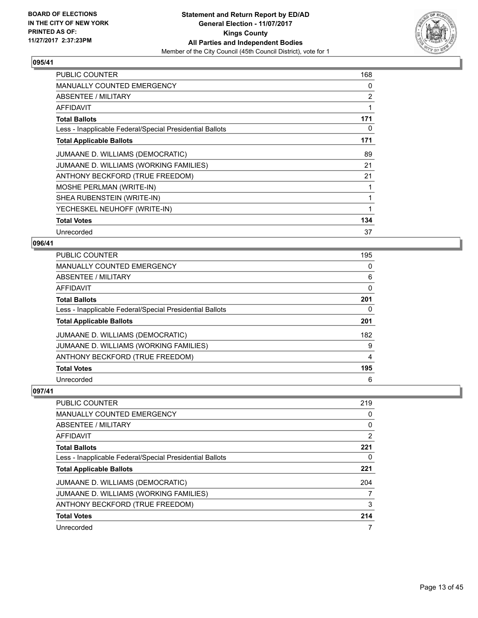

| <b>PUBLIC COUNTER</b>                                    | 168 |
|----------------------------------------------------------|-----|
| MANUALLY COUNTED EMERGENCY                               | 0   |
| ABSENTEE / MILITARY                                      | 2   |
| AFFIDAVIT                                                | 1   |
| <b>Total Ballots</b>                                     | 171 |
| Less - Inapplicable Federal/Special Presidential Ballots | 0   |
| <b>Total Applicable Ballots</b>                          | 171 |
| JUMAANE D. WILLIAMS (DEMOCRATIC)                         | 89  |
| JUMAANE D. WILLIAMS (WORKING FAMILIES)                   | 21  |
| ANTHONY BECKFORD (TRUE FREEDOM)                          | 21  |
| <b>MOSHE PERLMAN (WRITE-IN)</b>                          | 1   |
| SHEA RUBENSTEIN (WRITE-IN)                               | 1   |
| YECHESKEL NEUHOFF (WRITE-IN)                             | 1   |
| <b>Total Votes</b>                                       | 134 |
| Unrecorded                                               | 37  |

# **096/41**

| PUBLIC COUNTER                                           | 195 |
|----------------------------------------------------------|-----|
| <b>MANUALLY COUNTED EMERGENCY</b>                        | 0   |
| <b>ABSENTEE / MILITARY</b>                               | 6   |
| <b>AFFIDAVIT</b>                                         | 0   |
| <b>Total Ballots</b>                                     | 201 |
| Less - Inapplicable Federal/Special Presidential Ballots | 0   |
| <b>Total Applicable Ballots</b>                          | 201 |
| JUMAANE D. WILLIAMS (DEMOCRATIC)                         | 182 |
| JUMAANE D. WILLIAMS (WORKING FAMILIES)                   | 9   |
| ANTHONY BECKFORD (TRUE FREEDOM)                          | 4   |
| <b>Total Votes</b>                                       | 195 |
| Unrecorded                                               | 6   |

| <b>PUBLIC COUNTER</b>                                    | 219                   |
|----------------------------------------------------------|-----------------------|
| MANUALLY COUNTED EMERGENCY                               | 0                     |
| ABSENTEE / MILITARY                                      | 0                     |
| AFFIDAVIT                                                | $\mathbf{2}^{\prime}$ |
| <b>Total Ballots</b>                                     | 221                   |
| Less - Inapplicable Federal/Special Presidential Ballots | 0                     |
| <b>Total Applicable Ballots</b>                          | 221                   |
| JUMAANE D. WILLIAMS (DEMOCRATIC)                         | 204                   |
| JUMAANE D. WILLIAMS (WORKING FAMILIES)                   | 7                     |
| ANTHONY BECKFORD (TRUE FREEDOM)                          | 3                     |
| <b>Total Votes</b>                                       | 214                   |
| Unrecorded                                               | 7                     |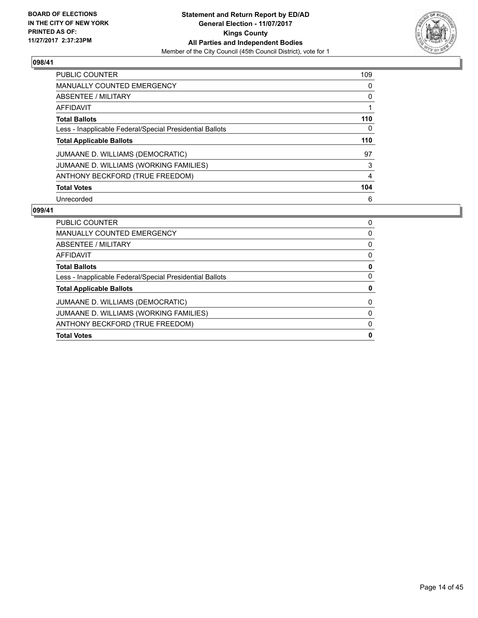

| <b>PUBLIC COUNTER</b>                                    | 109 |
|----------------------------------------------------------|-----|
| <b>MANUALLY COUNTED EMERGENCY</b>                        | 0   |
| ABSENTEE / MILITARY                                      | 0   |
| AFFIDAVIT                                                |     |
| <b>Total Ballots</b>                                     | 110 |
| Less - Inapplicable Federal/Special Presidential Ballots | 0   |
| <b>Total Applicable Ballots</b>                          | 110 |
| JUMAANE D. WILLIAMS (DEMOCRATIC)                         | 97  |
| JUMAANE D. WILLIAMS (WORKING FAMILIES)                   | 3   |
| ANTHONY BECKFORD (TRUE FREEDOM)                          | 4   |
| <b>Total Votes</b>                                       | 104 |
| Unrecorded                                               | 6   |

| <b>Total Votes</b>                                       | 0 |
|----------------------------------------------------------|---|
| ANTHONY BECKFORD (TRUE FREEDOM)                          | 0 |
| JUMAANE D. WILLIAMS (WORKING FAMILIES)                   | 0 |
| JUMAANE D. WILLIAMS (DEMOCRATIC)                         | 0 |
| <b>Total Applicable Ballots</b>                          | 0 |
| Less - Inapplicable Federal/Special Presidential Ballots | 0 |
| <b>Total Ballots</b>                                     | 0 |
| AFFIDAVIT                                                | 0 |
| ABSENTEE / MILITARY                                      | 0 |
| MANUALLY COUNTED EMERGENCY                               | 0 |
| <b>PUBLIC COUNTER</b>                                    | 0 |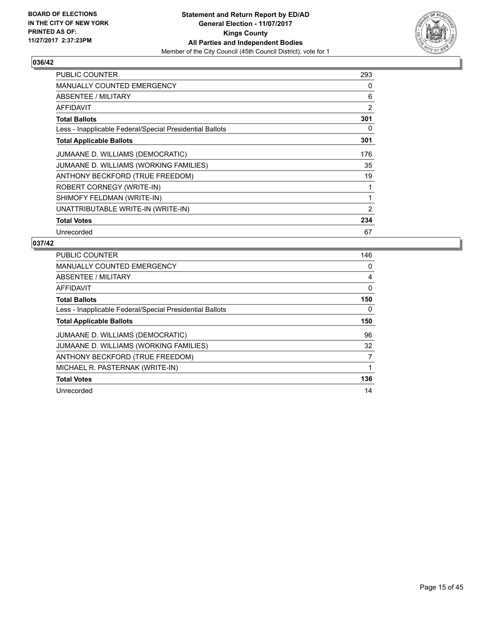

| <b>PUBLIC COUNTER</b>                                    | 293 |
|----------------------------------------------------------|-----|
| <b>MANUALLY COUNTED EMERGENCY</b>                        | 0   |
| ABSENTEE / MILITARY                                      | 6   |
| AFFIDAVIT                                                | 2   |
| <b>Total Ballots</b>                                     | 301 |
| Less - Inapplicable Federal/Special Presidential Ballots | 0   |
| <b>Total Applicable Ballots</b>                          | 301 |
| JUMAANE D. WILLIAMS (DEMOCRATIC)                         | 176 |
| JUMAANE D. WILLIAMS (WORKING FAMILIES)                   | 35  |
| ANTHONY BECKFORD (TRUE FREEDOM)                          | 19  |
| ROBERT CORNEGY (WRITE-IN)                                | 1   |
| SHIMOFY FELDMAN (WRITE-IN)                               | 1   |
| UNATTRIBUTABLE WRITE-IN (WRITE-IN)                       | 2   |
| <b>Total Votes</b>                                       | 234 |
| Unrecorded                                               | 67  |

| <b>PUBLIC COUNTER</b>                                    | 146 |
|----------------------------------------------------------|-----|
| MANUALLY COUNTED EMERGENCY                               | 0   |
| ABSENTEE / MILITARY                                      | 4   |
| AFFIDAVIT                                                | 0   |
| <b>Total Ballots</b>                                     | 150 |
| Less - Inapplicable Federal/Special Presidential Ballots | 0   |
| <b>Total Applicable Ballots</b>                          | 150 |
| JUMAANE D. WILLIAMS (DEMOCRATIC)                         | 96  |
| JUMAANE D. WILLIAMS (WORKING FAMILIES)                   | 32  |
| ANTHONY BECKFORD (TRUE FREEDOM)                          | 7   |
| MICHAEL R. PASTERNAK (WRITE-IN)                          | 1   |
| <b>Total Votes</b>                                       | 136 |
| Unrecorded                                               | 14  |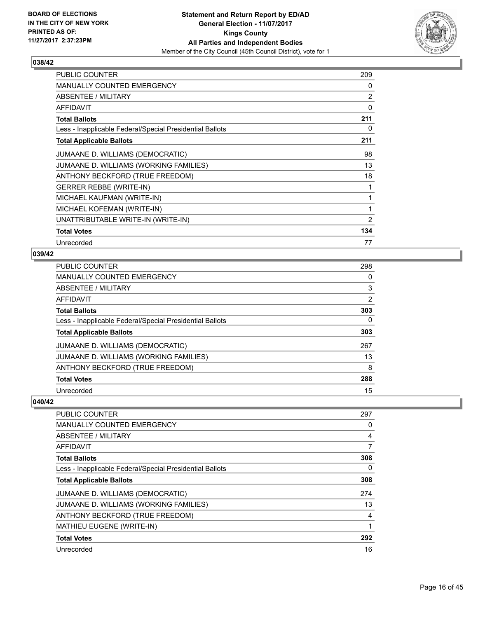

| <b>PUBLIC COUNTER</b>                                    | 209            |
|----------------------------------------------------------|----------------|
| <b>MANUALLY COUNTED EMERGENCY</b>                        | 0              |
| ABSENTEE / MILITARY                                      | 2              |
| <b>AFFIDAVIT</b>                                         | 0              |
| <b>Total Ballots</b>                                     | 211            |
| Less - Inapplicable Federal/Special Presidential Ballots | 0              |
| <b>Total Applicable Ballots</b>                          | 211            |
| JUMAANE D. WILLIAMS (DEMOCRATIC)                         | 98             |
| JUMAANE D. WILLIAMS (WORKING FAMILIES)                   | 13             |
| ANTHONY BECKFORD (TRUE FREEDOM)                          | 18             |
| <b>GERRER REBBE (WRITE-IN)</b>                           | 1              |
| MICHAEL KAUFMAN (WRITE-IN)                               | 1              |
| MICHAEL KOFEMAN (WRITE-IN)                               | 1              |
| UNATTRIBUTABLE WRITE-IN (WRITE-IN)                       | $\overline{2}$ |
| <b>Total Votes</b>                                       | 134            |
| Unrecorded                                               | 77             |

# **039/42**

| <b>PUBLIC COUNTER</b>                                    | 298 |
|----------------------------------------------------------|-----|
| <b>MANUALLY COUNTED EMERGENCY</b>                        | 0   |
| ABSENTEE / MILITARY                                      | 3   |
| AFFIDAVIT                                                | 2   |
| <b>Total Ballots</b>                                     | 303 |
| Less - Inapplicable Federal/Special Presidential Ballots | 0   |
| <b>Total Applicable Ballots</b>                          | 303 |
| JUMAANE D. WILLIAMS (DEMOCRATIC)                         | 267 |
| JUMAANE D. WILLIAMS (WORKING FAMILIES)                   | 13  |
|                                                          |     |
| ANTHONY BECKFORD (TRUE FREEDOM)                          | 8   |
| <b>Total Votes</b>                                       | 288 |

| <b>PUBLIC COUNTER</b>                                    | 297 |
|----------------------------------------------------------|-----|
| <b>MANUALLY COUNTED EMERGENCY</b>                        | 0   |
| ABSENTEE / MILITARY                                      | 4   |
| AFFIDAVIT                                                | 7   |
| <b>Total Ballots</b>                                     | 308 |
| Less - Inapplicable Federal/Special Presidential Ballots | 0   |
| <b>Total Applicable Ballots</b>                          | 308 |
| JUMAANE D. WILLIAMS (DEMOCRATIC)                         | 274 |
| JUMAANE D. WILLIAMS (WORKING FAMILIES)                   | 13  |
| ANTHONY BECKFORD (TRUE FREEDOM)                          | 4   |
| MATHIEU EUGENE (WRITE-IN)                                |     |
| <b>Total Votes</b>                                       | 292 |
| Unrecorded                                               | 16  |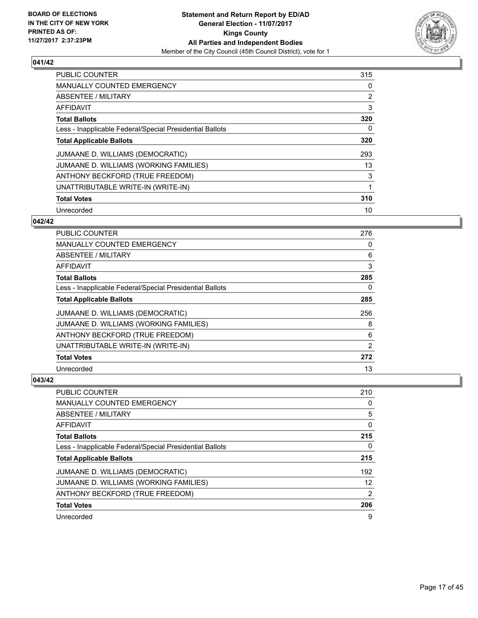

| <b>PUBLIC COUNTER</b>                                    | 315 |
|----------------------------------------------------------|-----|
| <b>MANUALLY COUNTED EMERGENCY</b>                        | 0   |
| ABSENTEE / MILITARY                                      | 2   |
| AFFIDAVIT                                                | 3   |
| <b>Total Ballots</b>                                     | 320 |
| Less - Inapplicable Federal/Special Presidential Ballots | 0   |
| <b>Total Applicable Ballots</b>                          | 320 |
| JUMAANE D. WILLIAMS (DEMOCRATIC)                         | 293 |
| JUMAANE D. WILLIAMS (WORKING FAMILIES)                   | 13  |
| ANTHONY BECKFORD (TRUE FREEDOM)                          | 3   |
| UNATTRIBUTABLE WRITE-IN (WRITE-IN)                       | 1   |
| <b>Total Votes</b>                                       | 310 |
| Unrecorded                                               | 10  |

# **042/42**

| PUBLIC COUNTER                                           | 276 |
|----------------------------------------------------------|-----|
| <b>MANUALLY COUNTED EMERGENCY</b>                        | 0   |
| ABSENTEE / MILITARY                                      | 6   |
| AFFIDAVIT                                                | 3   |
| <b>Total Ballots</b>                                     | 285 |
| Less - Inapplicable Federal/Special Presidential Ballots | 0   |
| <b>Total Applicable Ballots</b>                          | 285 |
| JUMAANE D. WILLIAMS (DEMOCRATIC)                         | 256 |
| JUMAANE D. WILLIAMS (WORKING FAMILIES)                   | 8   |
| ANTHONY BECKFORD (TRUE FREEDOM)                          | 6   |
| UNATTRIBUTABLE WRITE-IN (WRITE-IN)                       | 2   |
| <b>Total Votes</b>                                       | 272 |
| Unrecorded                                               | 13  |

| <b>PUBLIC COUNTER</b>                                    | 210 |
|----------------------------------------------------------|-----|
| <b>MANUALLY COUNTED EMERGENCY</b>                        | 0   |
| ABSENTEE / MILITARY                                      | 5   |
| AFFIDAVIT                                                | 0   |
| <b>Total Ballots</b>                                     | 215 |
| Less - Inapplicable Federal/Special Presidential Ballots | 0   |
| <b>Total Applicable Ballots</b>                          | 215 |
| JUMAANE D. WILLIAMS (DEMOCRATIC)                         | 192 |
| JUMAANE D. WILLIAMS (WORKING FAMILIES)                   | 12  |
| ANTHONY BECKFORD (TRUE FREEDOM)                          | 2   |
| <b>Total Votes</b>                                       | 206 |
| Unrecorded                                               | 9   |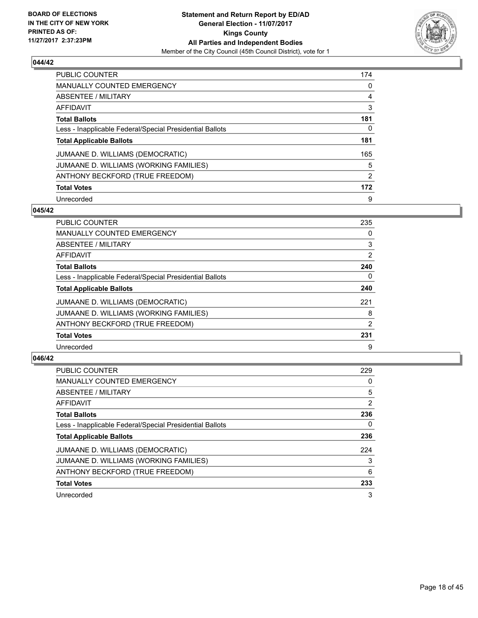

| <b>PUBLIC COUNTER</b>                                    | 174 |
|----------------------------------------------------------|-----|
| <b>MANUALLY COUNTED EMERGENCY</b>                        | 0   |
| ABSENTEE / MILITARY                                      | 4   |
| AFFIDAVIT                                                | 3   |
| <b>Total Ballots</b>                                     | 181 |
| Less - Inapplicable Federal/Special Presidential Ballots | 0   |
| <b>Total Applicable Ballots</b>                          | 181 |
| JUMAANE D. WILLIAMS (DEMOCRATIC)                         | 165 |
| JUMAANE D. WILLIAMS (WORKING FAMILIES)                   | 5   |
| ANTHONY BECKFORD (TRUE FREEDOM)                          | 2   |
| <b>Total Votes</b>                                       | 172 |
| Unrecorded                                               | 9   |

#### **045/42**

| <b>PUBLIC COUNTER</b>                                    | 235 |
|----------------------------------------------------------|-----|
| <b>MANUALLY COUNTED EMERGENCY</b>                        | 0   |
| ABSENTEE / MILITARY                                      | 3   |
| <b>AFFIDAVIT</b>                                         | 2   |
| <b>Total Ballots</b>                                     | 240 |
| Less - Inapplicable Federal/Special Presidential Ballots | 0   |
| <b>Total Applicable Ballots</b>                          | 240 |
| JUMAANE D. WILLIAMS (DEMOCRATIC)                         | 221 |
| JUMAANE D. WILLIAMS (WORKING FAMILIES)                   | 8   |
| ANTHONY BECKFORD (TRUE FREEDOM)                          | 2   |
| <b>Total Votes</b>                                       | 231 |
| Unrecorded                                               | 9   |

| <b>PUBLIC COUNTER</b>                                    | 229            |
|----------------------------------------------------------|----------------|
| <b>MANUALLY COUNTED EMERGENCY</b>                        | 0              |
| ABSENTEE / MILITARY                                      | 5              |
| AFFIDAVIT                                                | $\overline{2}$ |
| <b>Total Ballots</b>                                     | 236            |
| Less - Inapplicable Federal/Special Presidential Ballots | 0              |
| <b>Total Applicable Ballots</b>                          | 236            |
| JUMAANE D. WILLIAMS (DEMOCRATIC)                         | 224            |
| JUMAANE D. WILLIAMS (WORKING FAMILIES)                   | 3              |
| ANTHONY BECKFORD (TRUE FREEDOM)                          | 6              |
| <b>Total Votes</b>                                       | 233            |
| Unrecorded                                               | 3              |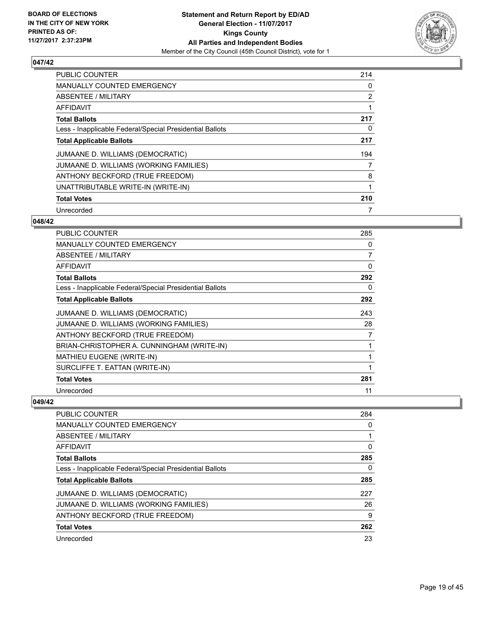

| <b>PUBLIC COUNTER</b>                                    | 214 |
|----------------------------------------------------------|-----|
| <b>MANUALLY COUNTED EMERGENCY</b>                        | 0   |
| ABSENTEE / MILITARY                                      | 2   |
| AFFIDAVIT                                                |     |
| <b>Total Ballots</b>                                     | 217 |
| Less - Inapplicable Federal/Special Presidential Ballots | 0   |
| <b>Total Applicable Ballots</b>                          | 217 |
| JUMAANE D. WILLIAMS (DEMOCRATIC)                         | 194 |
| JUMAANE D. WILLIAMS (WORKING FAMILIES)                   |     |
| ANTHONY BECKFORD (TRUE FREEDOM)                          | 8   |
| UNATTRIBUTABLE WRITE-IN (WRITE-IN)                       | 1   |
| <b>Total Votes</b>                                       | 210 |
| Unrecorded                                               | 7   |

#### **048/42**

| <b>PUBLIC COUNTER</b>                                    | 285 |
|----------------------------------------------------------|-----|
| <b>MANUALLY COUNTED EMERGENCY</b>                        | 0   |
| ABSENTEE / MILITARY                                      | 7   |
| AFFIDAVIT                                                | 0   |
| <b>Total Ballots</b>                                     | 292 |
| Less - Inapplicable Federal/Special Presidential Ballots | 0   |
| <b>Total Applicable Ballots</b>                          | 292 |
| JUMAANE D. WILLIAMS (DEMOCRATIC)                         | 243 |
| JUMAANE D. WILLIAMS (WORKING FAMILIES)                   | 28  |
| ANTHONY BECKFORD (TRUE FREEDOM)                          | 7   |
| BRIAN-CHRISTOPHER A. CUNNINGHAM (WRITE-IN)               | 1   |
| <b>MATHIEU EUGENE (WRITE-IN)</b>                         |     |
| SURCLIFFE T. EATTAN (WRITE-IN)                           | 1   |
| <b>Total Votes</b>                                       | 281 |
| Unrecorded                                               | 11  |

| <b>PUBLIC COUNTER</b>                                    | 284 |
|----------------------------------------------------------|-----|
| <b>MANUALLY COUNTED EMERGENCY</b>                        | 0   |
| ABSENTEE / MILITARY                                      |     |
| AFFIDAVIT                                                | 0   |
| <b>Total Ballots</b>                                     | 285 |
| Less - Inapplicable Federal/Special Presidential Ballots | 0   |
| <b>Total Applicable Ballots</b>                          | 285 |
| JUMAANE D. WILLIAMS (DEMOCRATIC)                         | 227 |
| JUMAANE D. WILLIAMS (WORKING FAMILIES)                   | 26  |
| ANTHONY BECKFORD (TRUE FREEDOM)                          | 9   |
| <b>Total Votes</b>                                       | 262 |
| Unrecorded                                               | 23  |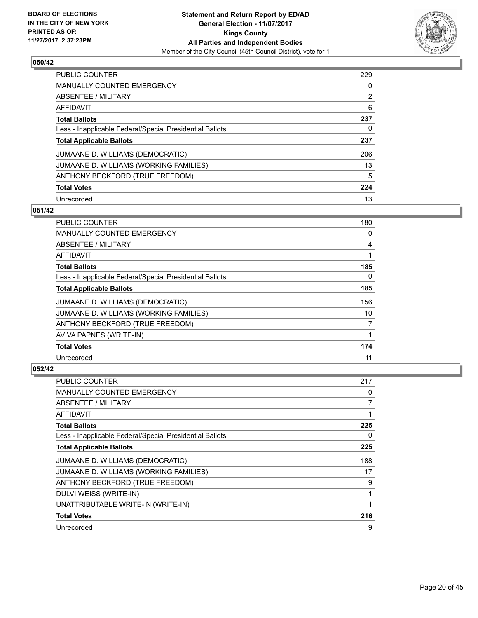

| <b>PUBLIC COUNTER</b>                                    | 229 |
|----------------------------------------------------------|-----|
| <b>MANUALLY COUNTED EMERGENCY</b>                        | 0   |
| ABSENTEE / MILITARY                                      | 2   |
| AFFIDAVIT                                                | 6   |
| <b>Total Ballots</b>                                     | 237 |
| Less - Inapplicable Federal/Special Presidential Ballots | 0   |
| <b>Total Applicable Ballots</b>                          | 237 |
| JUMAANE D. WILLIAMS (DEMOCRATIC)                         | 206 |
| JUMAANE D. WILLIAMS (WORKING FAMILIES)                   | 13  |
| ANTHONY BECKFORD (TRUE FREEDOM)                          | 5   |
| <b>Total Votes</b>                                       | 224 |
| Unrecorded                                               | 13  |

#### **051/42**

| <b>PUBLIC COUNTER</b>                                    | 180 |
|----------------------------------------------------------|-----|
| <b>MANUALLY COUNTED EMERGENCY</b>                        | 0   |
| ABSENTEE / MILITARY                                      | 4   |
| AFFIDAVIT                                                |     |
| <b>Total Ballots</b>                                     | 185 |
| Less - Inapplicable Federal/Special Presidential Ballots | 0   |
| <b>Total Applicable Ballots</b>                          | 185 |
| JUMAANE D. WILLIAMS (DEMOCRATIC)                         | 156 |
| JUMAANE D. WILLIAMS (WORKING FAMILIES)                   | 10  |
| ANTHONY BECKFORD (TRUE FREEDOM)                          | 7   |
| AVIVA PAPNES (WRITE-IN)                                  | 1   |
| <b>Total Votes</b>                                       | 174 |
| Unrecorded                                               | 11  |

| PUBLIC COUNTER                                           | 217 |
|----------------------------------------------------------|-----|
| <b>MANUALLY COUNTED EMERGENCY</b>                        | 0   |
| ABSENTEE / MILITARY                                      | 7   |
| AFFIDAVIT                                                |     |
| <b>Total Ballots</b>                                     | 225 |
| Less - Inapplicable Federal/Special Presidential Ballots | 0   |
| <b>Total Applicable Ballots</b>                          | 225 |
| JUMAANE D. WILLIAMS (DEMOCRATIC)                         | 188 |
| JUMAANE D. WILLIAMS (WORKING FAMILIES)                   | 17  |
| ANTHONY BECKFORD (TRUE FREEDOM)                          | 9   |
| DULVI WEISS (WRITE-IN)                                   |     |
| UNATTRIBUTABLE WRITE-IN (WRITE-IN)                       |     |
| <b>Total Votes</b>                                       | 216 |
| Unrecorded                                               | 9   |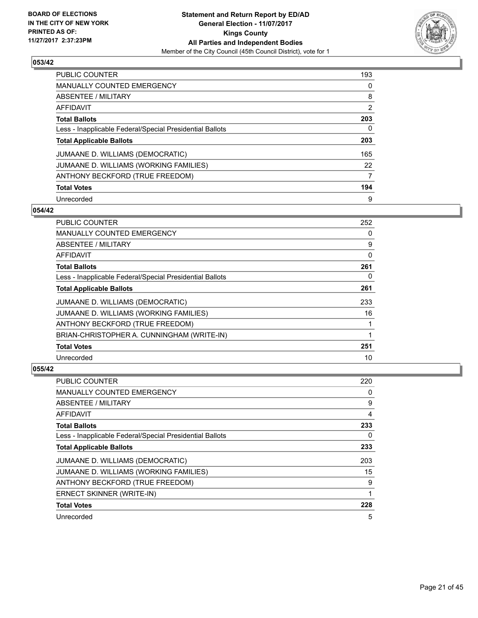

| <b>PUBLIC COUNTER</b>                                    | 193 |
|----------------------------------------------------------|-----|
| <b>MANUALLY COUNTED EMERGENCY</b>                        | 0   |
| ABSENTEE / MILITARY                                      | 8   |
| AFFIDAVIT                                                | 2   |
| <b>Total Ballots</b>                                     | 203 |
| Less - Inapplicable Federal/Special Presidential Ballots | 0   |
| <b>Total Applicable Ballots</b>                          | 203 |
| JUMAANE D. WILLIAMS (DEMOCRATIC)                         | 165 |
| JUMAANE D. WILLIAMS (WORKING FAMILIES)                   | 22  |
| ANTHONY BECKFORD (TRUE FREEDOM)                          | 7   |
| <b>Total Votes</b>                                       | 194 |
| Unrecorded                                               | 9   |

#### **054/42**

| <b>PUBLIC COUNTER</b>                                    | 252 |
|----------------------------------------------------------|-----|
| <b>MANUALLY COUNTED EMERGENCY</b>                        | 0   |
| ABSENTEE / MILITARY                                      | 9   |
| AFFIDAVIT                                                | 0   |
| <b>Total Ballots</b>                                     | 261 |
| Less - Inapplicable Federal/Special Presidential Ballots | 0   |
| <b>Total Applicable Ballots</b>                          | 261 |
| JUMAANE D. WILLIAMS (DEMOCRATIC)                         | 233 |
| JUMAANE D. WILLIAMS (WORKING FAMILIES)                   | 16  |
| ANTHONY BECKFORD (TRUE FREEDOM)                          |     |
| BRIAN-CHRISTOPHER A. CUNNINGHAM (WRITE-IN)               |     |
| <b>Total Votes</b>                                       | 251 |
| Unrecorded                                               | 10  |

| <b>PUBLIC COUNTER</b>                                    | 220 |
|----------------------------------------------------------|-----|
| MANUALLY COUNTED EMERGENCY                               | 0   |
| ABSENTEE / MILITARY                                      | 9   |
| AFFIDAVIT                                                | 4   |
| <b>Total Ballots</b>                                     | 233 |
| Less - Inapplicable Federal/Special Presidential Ballots | 0   |
| <b>Total Applicable Ballots</b>                          | 233 |
| JUMAANE D. WILLIAMS (DEMOCRATIC)                         | 203 |
| JUMAANE D. WILLIAMS (WORKING FAMILIES)                   | 15  |
| ANTHONY BECKFORD (TRUE FREEDOM)                          | 9   |
| ERNECT SKINNER (WRITE-IN)                                | 1   |
| <b>Total Votes</b>                                       | 228 |
| Unrecorded                                               | 5   |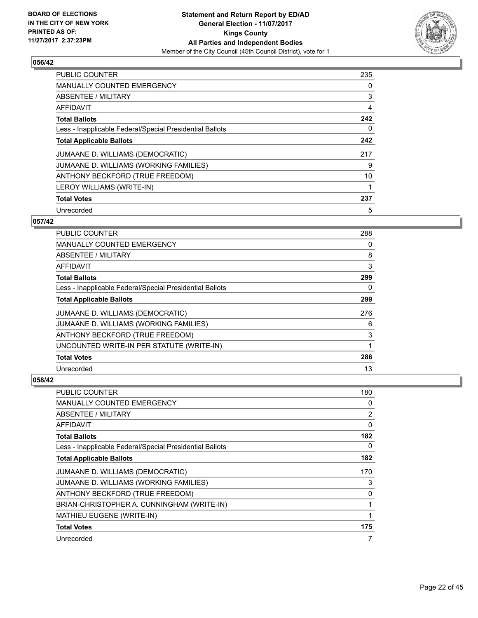

| <b>PUBLIC COUNTER</b>                                    | 235 |
|----------------------------------------------------------|-----|
| <b>MANUALLY COUNTED EMERGENCY</b>                        | 0   |
| ABSENTEE / MILITARY                                      | 3   |
| AFFIDAVIT                                                | 4   |
| <b>Total Ballots</b>                                     | 242 |
| Less - Inapplicable Federal/Special Presidential Ballots | 0   |
| <b>Total Applicable Ballots</b>                          | 242 |
| JUMAANE D. WILLIAMS (DEMOCRATIC)                         | 217 |
| JUMAANE D. WILLIAMS (WORKING FAMILIES)                   | 9   |
| ANTHONY BECKFORD (TRUE FREEDOM)                          | 10  |
| LEROY WILLIAMS (WRITE-IN)                                |     |
| <b>Total Votes</b>                                       | 237 |
| Unrecorded                                               | 5   |

## **057/42**

| PUBLIC COUNTER                                           | 288 |
|----------------------------------------------------------|-----|
| <b>MANUALLY COUNTED EMERGENCY</b>                        | 0   |
| ABSENTEE / MILITARY                                      | 8   |
| AFFIDAVIT                                                | 3   |
| <b>Total Ballots</b>                                     | 299 |
| Less - Inapplicable Federal/Special Presidential Ballots | 0   |
| <b>Total Applicable Ballots</b>                          | 299 |
| JUMAANE D. WILLIAMS (DEMOCRATIC)                         | 276 |
| JUMAANE D. WILLIAMS (WORKING FAMILIES)                   | 6   |
| ANTHONY BECKFORD (TRUE FREEDOM)                          | 3   |
| UNCOUNTED WRITE-IN PER STATUTE (WRITE-IN)                | 1   |
| <b>Total Votes</b>                                       | 286 |
| Unrecorded                                               | 13  |

| <b>PUBLIC COUNTER</b>                                    | 180            |
|----------------------------------------------------------|----------------|
| <b>MANUALLY COUNTED EMERGENCY</b>                        | 0              |
| ABSENTEE / MILITARY                                      | $\overline{2}$ |
| AFFIDAVIT                                                | $\Omega$       |
| <b>Total Ballots</b>                                     | 182            |
| Less - Inapplicable Federal/Special Presidential Ballots | 0              |
| <b>Total Applicable Ballots</b>                          | 182            |
| JUMAANE D. WILLIAMS (DEMOCRATIC)                         | 170            |
| JUMAANE D. WILLIAMS (WORKING FAMILIES)                   | 3              |
| ANTHONY BECKFORD (TRUE FREEDOM)                          | 0              |
| BRIAN-CHRISTOPHER A. CUNNINGHAM (WRITE-IN)               |                |
| MATHIEU EUGENE (WRITE-IN)                                |                |
| <b>Total Votes</b>                                       | 175            |
| Unrecorded                                               | 7              |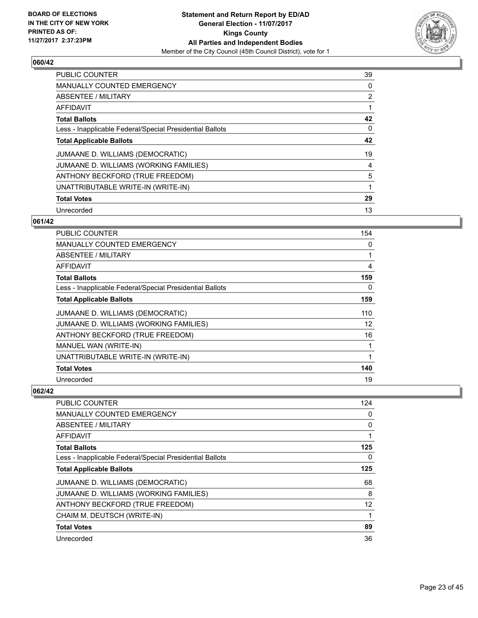

| <b>PUBLIC COUNTER</b>                                    | 39 |
|----------------------------------------------------------|----|
| <b>MANUALLY COUNTED EMERGENCY</b>                        | 0  |
| ABSENTEE / MILITARY                                      | 2  |
| AFFIDAVIT                                                |    |
| <b>Total Ballots</b>                                     | 42 |
| Less - Inapplicable Federal/Special Presidential Ballots | 0  |
| <b>Total Applicable Ballots</b>                          | 42 |
| JUMAANE D. WILLIAMS (DEMOCRATIC)                         | 19 |
| JUMAANE D. WILLIAMS (WORKING FAMILIES)                   | 4  |
| ANTHONY BECKFORD (TRUE FREEDOM)                          | 5  |
| UNATTRIBUTABLE WRITE-IN (WRITE-IN)                       | 1  |
| <b>Total Votes</b>                                       | 29 |
| Unrecorded                                               | 13 |

# **061/42**

| PUBLIC COUNTER                                           | 154               |
|----------------------------------------------------------|-------------------|
| MANUALLY COUNTED EMERGENCY                               | 0                 |
| ABSENTEE / MILITARY                                      | 1                 |
| <b>AFFIDAVIT</b>                                         | 4                 |
| <b>Total Ballots</b>                                     | 159               |
| Less - Inapplicable Federal/Special Presidential Ballots | 0                 |
| <b>Total Applicable Ballots</b>                          | 159               |
| JUMAANE D. WILLIAMS (DEMOCRATIC)                         | 110               |
| JUMAANE D. WILLIAMS (WORKING FAMILIES)                   | $12 \overline{ }$ |
| ANTHONY BECKFORD (TRUE FREEDOM)                          | 16                |
| MANUEL WAN (WRITE-IN)                                    | 1                 |
| UNATTRIBUTABLE WRITE-IN (WRITE-IN)                       | 1                 |
| <b>Total Votes</b>                                       | 140               |
| Unrecorded                                               | 19                |

| <b>PUBLIC COUNTER</b>                                    | 124 |
|----------------------------------------------------------|-----|
| <b>MANUALLY COUNTED EMERGENCY</b>                        | 0   |
| ABSENTEE / MILITARY                                      | 0   |
| AFFIDAVIT                                                |     |
| <b>Total Ballots</b>                                     | 125 |
| Less - Inapplicable Federal/Special Presidential Ballots | 0   |
| <b>Total Applicable Ballots</b>                          | 125 |
| JUMAANE D. WILLIAMS (DEMOCRATIC)                         | 68  |
| JUMAANE D. WILLIAMS (WORKING FAMILIES)                   | 8   |
| ANTHONY BECKFORD (TRUE FREEDOM)                          | 12  |
| CHAIM M. DEUTSCH (WRITE-IN)                              |     |
| <b>Total Votes</b>                                       | 89  |
| Unrecorded                                               | 36  |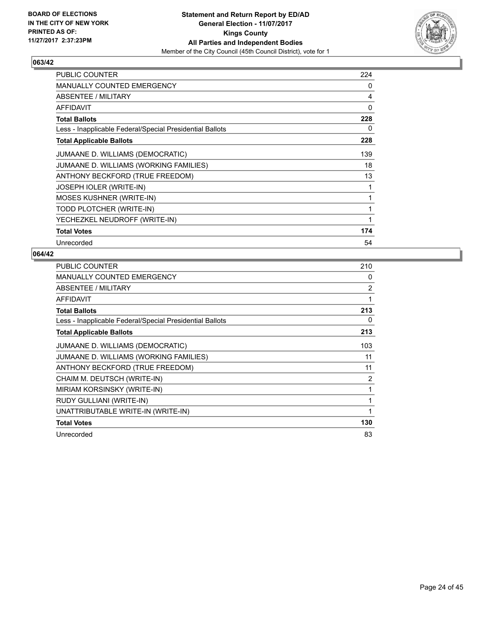

| <b>PUBLIC COUNTER</b>                                    | 224 |
|----------------------------------------------------------|-----|
| <b>MANUALLY COUNTED EMERGENCY</b>                        | 0   |
| ABSENTEE / MILITARY                                      | 4   |
| <b>AFFIDAVIT</b>                                         | 0   |
| <b>Total Ballots</b>                                     | 228 |
| Less - Inapplicable Federal/Special Presidential Ballots | 0   |
| <b>Total Applicable Ballots</b>                          | 228 |
| JUMAANE D. WILLIAMS (DEMOCRATIC)                         | 139 |
| JUMAANE D. WILLIAMS (WORKING FAMILIES)                   | 18  |
| ANTHONY BECKFORD (TRUE FREEDOM)                          | 13  |
| <b>JOSEPH IOLER (WRITE-IN)</b>                           | 1   |
| <b>MOSES KUSHNER (WRITE-IN)</b>                          | 1   |
| TODD PLOTCHER (WRITE-IN)                                 | 1   |
| YECHEZKEL NEUDROFF (WRITE-IN)                            | 1   |
| <b>Total Votes</b>                                       | 174 |
| Unrecorded                                               | 54  |

| <b>PUBLIC COUNTER</b>                                    | 210            |
|----------------------------------------------------------|----------------|
| <b>MANUALLY COUNTED EMERGENCY</b>                        | 0              |
| ABSENTEE / MILITARY                                      | $\overline{2}$ |
| AFFIDAVIT                                                | 1              |
| <b>Total Ballots</b>                                     | 213            |
| Less - Inapplicable Federal/Special Presidential Ballots | 0              |
| <b>Total Applicable Ballots</b>                          | 213            |
| JUMAANE D. WILLIAMS (DEMOCRATIC)                         | 103            |
| JUMAANE D. WILLIAMS (WORKING FAMILIES)                   | 11             |
| ANTHONY BECKFORD (TRUE FREEDOM)                          | 11             |
| CHAIM M. DEUTSCH (WRITE-IN)                              | $\overline{2}$ |
| MIRIAM KORSINSKY (WRITE-IN)                              |                |
| RUDY GULLIANI (WRITE-IN)                                 | 1              |
| UNATTRIBUTABLE WRITE-IN (WRITE-IN)                       | 1              |
| <b>Total Votes</b>                                       | 130            |
| Unrecorded                                               | 83             |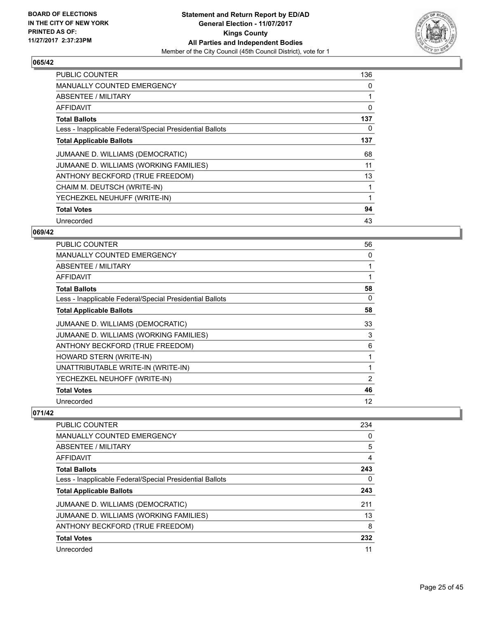

| <b>PUBLIC COUNTER</b>                                    | 136 |
|----------------------------------------------------------|-----|
| <b>MANUALLY COUNTED EMERGENCY</b>                        | 0   |
| ABSENTEE / MILITARY                                      |     |
| <b>AFFIDAVIT</b>                                         | 0   |
| <b>Total Ballots</b>                                     | 137 |
| Less - Inapplicable Federal/Special Presidential Ballots | 0   |
| <b>Total Applicable Ballots</b>                          | 137 |
| JUMAANE D. WILLIAMS (DEMOCRATIC)                         | 68  |
| JUMAANE D. WILLIAMS (WORKING FAMILIES)                   | 11  |
| ANTHONY BECKFORD (TRUE FREEDOM)                          | 13  |
| CHAIM M. DEUTSCH (WRITE-IN)                              |     |
| YECHEZKEL NEUHUFF (WRITE-IN)                             |     |
| <b>Total Votes</b>                                       | 94  |
| Unrecorded                                               | 43  |

# **069/42**

| <b>PUBLIC COUNTER</b>                                    | 56 |
|----------------------------------------------------------|----|
| <b>MANUALLY COUNTED EMERGENCY</b>                        | 0  |
| ABSENTEE / MILITARY                                      |    |
| AFFIDAVIT                                                |    |
| <b>Total Ballots</b>                                     | 58 |
| Less - Inapplicable Federal/Special Presidential Ballots | 0  |
| <b>Total Applicable Ballots</b>                          | 58 |
| JUMAANE D. WILLIAMS (DEMOCRATIC)                         | 33 |
| JUMAANE D. WILLIAMS (WORKING FAMILIES)                   | 3  |
| ANTHONY BECKFORD (TRUE FREEDOM)                          | 6  |
| HOWARD STERN (WRITE-IN)                                  |    |
| UNATTRIBUTABLE WRITE-IN (WRITE-IN)                       |    |
| YECHEZKEL NEUHOFF (WRITE-IN)                             | 2  |
| <b>Total Votes</b>                                       | 46 |
| Unrecorded                                               | 12 |

| <b>PUBLIC COUNTER</b>                                    | 234 |
|----------------------------------------------------------|-----|
| MANUALLY COUNTED EMERGENCY                               | 0   |
| ABSENTEE / MILITARY                                      | 5   |
| AFFIDAVIT                                                | 4   |
| <b>Total Ballots</b>                                     | 243 |
| Less - Inapplicable Federal/Special Presidential Ballots | 0   |
| <b>Total Applicable Ballots</b>                          | 243 |
| JUMAANE D. WILLIAMS (DEMOCRATIC)                         | 211 |
| JUMAANE D. WILLIAMS (WORKING FAMILIES)                   | 13  |
| ANTHONY BECKFORD (TRUE FREEDOM)                          | 8   |
| <b>Total Votes</b>                                       | 232 |
| Unrecorded                                               | 11  |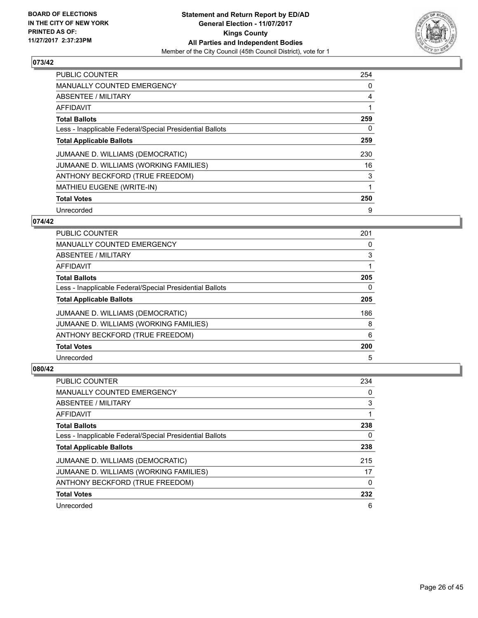

| <b>PUBLIC COUNTER</b>                                    | 254 |
|----------------------------------------------------------|-----|
| <b>MANUALLY COUNTED EMERGENCY</b>                        | 0   |
| ABSENTEE / MILITARY                                      | 4   |
| AFFIDAVIT                                                |     |
| <b>Total Ballots</b>                                     | 259 |
| Less - Inapplicable Federal/Special Presidential Ballots | 0   |
| <b>Total Applicable Ballots</b>                          | 259 |
| JUMAANE D. WILLIAMS (DEMOCRATIC)                         | 230 |
| JUMAANE D. WILLIAMS (WORKING FAMILIES)                   | 16  |
| ANTHONY BECKFORD (TRUE FREEDOM)                          | 3   |
| <b>MATHIEU EUGENE (WRITE-IN)</b>                         | 1   |
| <b>Total Votes</b>                                       | 250 |
| Unrecorded                                               | 9   |

#### **074/42**

| <b>PUBLIC COUNTER</b>                                    | 201 |
|----------------------------------------------------------|-----|
| <b>MANUALLY COUNTED EMERGENCY</b>                        | 0   |
| ABSENTEE / MILITARY                                      | 3   |
| AFFIDAVIT                                                |     |
| <b>Total Ballots</b>                                     | 205 |
| Less - Inapplicable Federal/Special Presidential Ballots | 0   |
| <b>Total Applicable Ballots</b>                          | 205 |
| JUMAANE D. WILLIAMS (DEMOCRATIC)                         | 186 |
| JUMAANE D. WILLIAMS (WORKING FAMILIES)                   | 8   |
| ANTHONY BECKFORD (TRUE FREEDOM)                          | 6   |
| <b>Total Votes</b>                                       | 200 |
| Unrecorded                                               | 5   |

| PUBLIC COUNTER                                           | 234 |
|----------------------------------------------------------|-----|
| <b>MANUALLY COUNTED EMERGENCY</b>                        | 0   |
| ABSENTEE / MILITARY                                      | 3   |
| AFFIDAVIT                                                |     |
| <b>Total Ballots</b>                                     | 238 |
| Less - Inapplicable Federal/Special Presidential Ballots | 0   |
| <b>Total Applicable Ballots</b>                          | 238 |
| JUMAANE D. WILLIAMS (DEMOCRATIC)                         | 215 |
| JUMAANE D. WILLIAMS (WORKING FAMILIES)                   | 17  |
| ANTHONY BECKFORD (TRUE FREEDOM)                          | 0   |
| <b>Total Votes</b>                                       | 232 |
| Unrecorded                                               | 6   |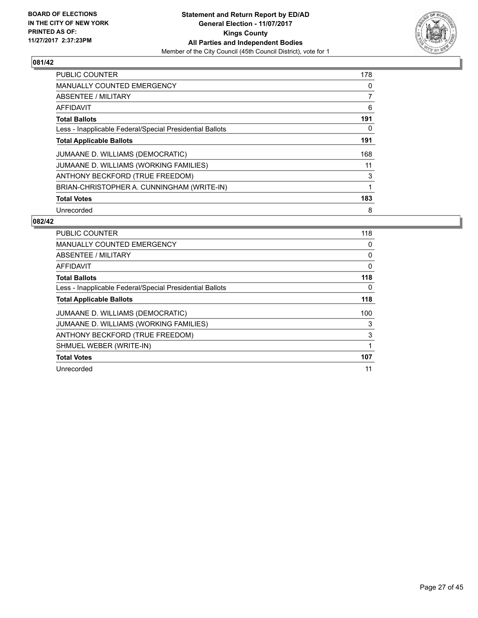

| <b>PUBLIC COUNTER</b>                                    | 178 |
|----------------------------------------------------------|-----|
| <b>MANUALLY COUNTED EMERGENCY</b>                        | 0   |
| ABSENTEE / MILITARY                                      | 7   |
| AFFIDAVIT                                                | 6   |
| <b>Total Ballots</b>                                     | 191 |
| Less - Inapplicable Federal/Special Presidential Ballots | 0   |
| <b>Total Applicable Ballots</b>                          | 191 |
| JUMAANE D. WILLIAMS (DEMOCRATIC)                         | 168 |
| JUMAANE D. WILLIAMS (WORKING FAMILIES)                   | 11  |
| ANTHONY BECKFORD (TRUE FREEDOM)                          | 3   |
| BRIAN-CHRISTOPHER A. CUNNINGHAM (WRITE-IN)               | 1   |
| <b>Total Votes</b>                                       | 183 |
| Unrecorded                                               | 8   |

| <b>PUBLIC COUNTER</b>                                    | 118 |
|----------------------------------------------------------|-----|
| <b>MANUALLY COUNTED EMERGENCY</b>                        | 0   |
| ABSENTEE / MILITARY                                      | 0   |
| <b>AFFIDAVIT</b>                                         | 0   |
| <b>Total Ballots</b>                                     | 118 |
| Less - Inapplicable Federal/Special Presidential Ballots | 0   |
| <b>Total Applicable Ballots</b>                          | 118 |
| JUMAANE D. WILLIAMS (DEMOCRATIC)                         | 100 |
| JUMAANE D. WILLIAMS (WORKING FAMILIES)                   | 3   |
| ANTHONY BECKFORD (TRUE FREEDOM)                          | 3   |
| SHMUEL WEBER (WRITE-IN)                                  |     |
| <b>Total Votes</b>                                       | 107 |
| Unrecorded                                               | 11  |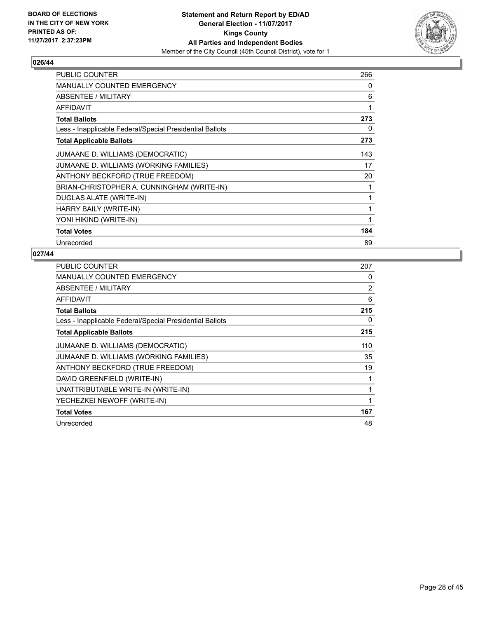

| <b>PUBLIC COUNTER</b>                                    | 266 |
|----------------------------------------------------------|-----|
| <b>MANUALLY COUNTED EMERGENCY</b>                        | 0   |
| ABSENTEE / MILITARY                                      | 6   |
| <b>AFFIDAVIT</b>                                         | 1   |
| <b>Total Ballots</b>                                     | 273 |
| Less - Inapplicable Federal/Special Presidential Ballots | 0   |
| <b>Total Applicable Ballots</b>                          | 273 |
| JUMAANE D. WILLIAMS (DEMOCRATIC)                         | 143 |
| JUMAANE D. WILLIAMS (WORKING FAMILIES)                   | 17  |
| ANTHONY BECKFORD (TRUE FREEDOM)                          | 20  |
| BRIAN-CHRISTOPHER A. CUNNINGHAM (WRITE-IN)               | 1   |
| DUGLAS ALATE (WRITE-IN)                                  | 1   |
| HARRY BAILY (WRITE-IN)                                   | 1   |
| YONI HIKIND (WRITE-IN)                                   | 1   |
| <b>Total Votes</b>                                       | 184 |
| Unrecorded                                               | 89  |

| <b>PUBLIC COUNTER</b>                                    | 207            |
|----------------------------------------------------------|----------------|
| <b>MANUALLY COUNTED EMERGENCY</b>                        | 0              |
| ABSENTEE / MILITARY                                      | $\overline{2}$ |
| AFFIDAVIT                                                | 6              |
| <b>Total Ballots</b>                                     | 215            |
| Less - Inapplicable Federal/Special Presidential Ballots | 0              |
| <b>Total Applicable Ballots</b>                          | 215            |
| JUMAANE D. WILLIAMS (DEMOCRATIC)                         | 110            |
| JUMAANE D. WILLIAMS (WORKING FAMILIES)                   | 35             |
| ANTHONY BECKFORD (TRUE FREEDOM)                          | 19             |
| DAVID GREENFIELD (WRITE-IN)                              | 1              |
| UNATTRIBUTABLE WRITE-IN (WRITE-IN)                       |                |
| YECHEZKEI NEWOFF (WRITE-IN)                              | 1              |
| <b>Total Votes</b>                                       | 167            |
| Unrecorded                                               | 48             |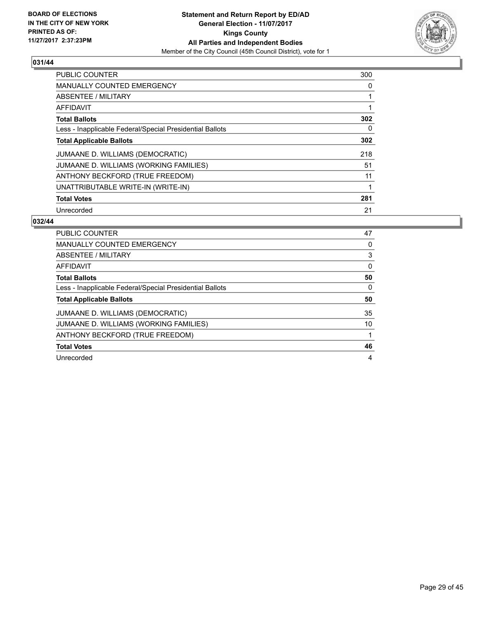

| <b>PUBLIC COUNTER</b>                                    | 300 |
|----------------------------------------------------------|-----|
| <b>MANUALLY COUNTED EMERGENCY</b>                        | 0   |
| ABSENTEE / MILITARY                                      |     |
| <b>AFFIDAVIT</b>                                         |     |
| <b>Total Ballots</b>                                     | 302 |
| Less - Inapplicable Federal/Special Presidential Ballots | 0   |
| <b>Total Applicable Ballots</b>                          | 302 |
| JUMAANE D. WILLIAMS (DEMOCRATIC)                         | 218 |
| JUMAANE D. WILLIAMS (WORKING FAMILIES)                   | 51  |
| ANTHONY BECKFORD (TRUE FREEDOM)                          | 11  |
| UNATTRIBUTABLE WRITE-IN (WRITE-IN)                       |     |
| <b>Total Votes</b>                                       | 281 |
| Unrecorded                                               | 21  |

| PUBLIC COUNTER                                           | 47 |
|----------------------------------------------------------|----|
| <b>MANUALLY COUNTED EMERGENCY</b>                        | 0  |
| ABSENTEE / MILITARY                                      | 3  |
| AFFIDAVIT                                                | 0  |
| <b>Total Ballots</b>                                     | 50 |
| Less - Inapplicable Federal/Special Presidential Ballots | 0  |
|                                                          |    |
| <b>Total Applicable Ballots</b>                          | 50 |
| JUMAANE D. WILLIAMS (DEMOCRATIC)                         | 35 |
| JUMAANE D. WILLIAMS (WORKING FAMILIES)                   | 10 |
| ANTHONY BECKFORD (TRUE FREEDOM)                          |    |
| <b>Total Votes</b>                                       | 46 |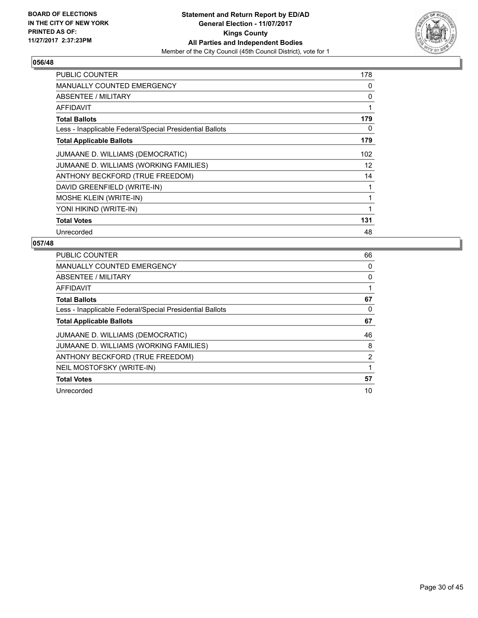

| <b>PUBLIC COUNTER</b>                                    | 178 |
|----------------------------------------------------------|-----|
| MANUALLY COUNTED EMERGENCY                               | 0   |
| <b>ABSENTEE / MILITARY</b>                               | 0   |
| <b>AFFIDAVIT</b>                                         | 1   |
| <b>Total Ballots</b>                                     | 179 |
| Less - Inapplicable Federal/Special Presidential Ballots | 0   |
| <b>Total Applicable Ballots</b>                          | 179 |
| JUMAANE D. WILLIAMS (DEMOCRATIC)                         | 102 |
| JUMAANE D. WILLIAMS (WORKING FAMILIES)                   | 12  |
| ANTHONY BECKFORD (TRUE FREEDOM)                          | 14  |
| DAVID GREENFIELD (WRITE-IN)                              | 1   |
| <b>MOSHE KLEIN (WRITE-IN)</b>                            | 1   |
| YONI HIKIND (WRITE-IN)                                   | 1   |
| <b>Total Votes</b>                                       | 131 |
| Unrecorded                                               | 48  |

| <b>PUBLIC COUNTER</b>                                    | 66             |
|----------------------------------------------------------|----------------|
| <b>MANUALLY COUNTED EMERGENCY</b>                        | 0              |
| ABSENTEE / MILITARY                                      | 0              |
| AFFIDAVIT                                                |                |
| <b>Total Ballots</b>                                     | 67             |
| Less - Inapplicable Federal/Special Presidential Ballots | 0              |
| <b>Total Applicable Ballots</b>                          | 67             |
| JUMAANE D. WILLIAMS (DEMOCRATIC)                         | 46             |
| JUMAANE D. WILLIAMS (WORKING FAMILIES)                   | 8              |
| ANTHONY BECKFORD (TRUE FREEDOM)                          | $\overline{2}$ |
| NEIL MOSTOFSKY (WRITE-IN)                                |                |
| <b>Total Votes</b>                                       | 57             |
| Unrecorded                                               | 10             |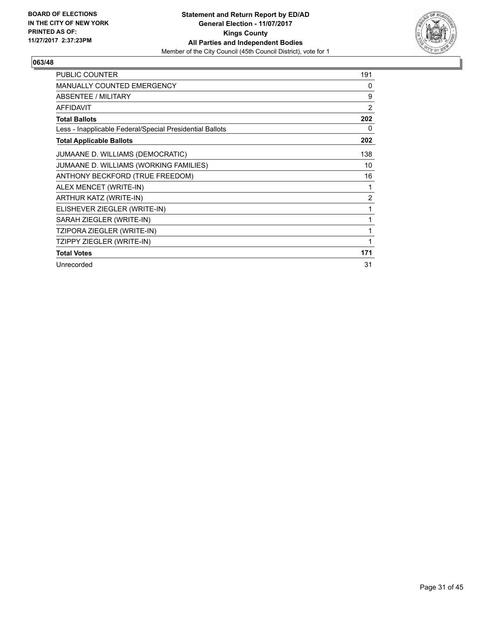

| <b>PUBLIC COUNTER</b>                                    | 191 |
|----------------------------------------------------------|-----|
| <b>MANUALLY COUNTED EMERGENCY</b>                        | 0   |
| <b>ABSENTEE / MILITARY</b>                               | 9   |
| <b>AFFIDAVIT</b>                                         | 2   |
| <b>Total Ballots</b>                                     | 202 |
| Less - Inapplicable Federal/Special Presidential Ballots | 0   |
| <b>Total Applicable Ballots</b>                          | 202 |
| JUMAANE D. WILLIAMS (DEMOCRATIC)                         | 138 |
| JUMAANE D. WILLIAMS (WORKING FAMILIES)                   | 10  |
| ANTHONY BECKFORD (TRUE FREEDOM)                          | 16  |
| ALEX MENCET (WRITE-IN)                                   | 1   |
| ARTHUR KATZ (WRITE-IN)                                   | 2   |
| ELISHEVER ZIEGLER (WRITE-IN)                             | 1   |
| SARAH ZIEGLER (WRITE-IN)                                 | 1   |
| TZIPORA ZIEGLER (WRITE-IN)                               | 1   |
| TZIPPY ZIEGLER (WRITE-IN)                                | 1   |
| <b>Total Votes</b>                                       | 171 |
| Unrecorded                                               | 31  |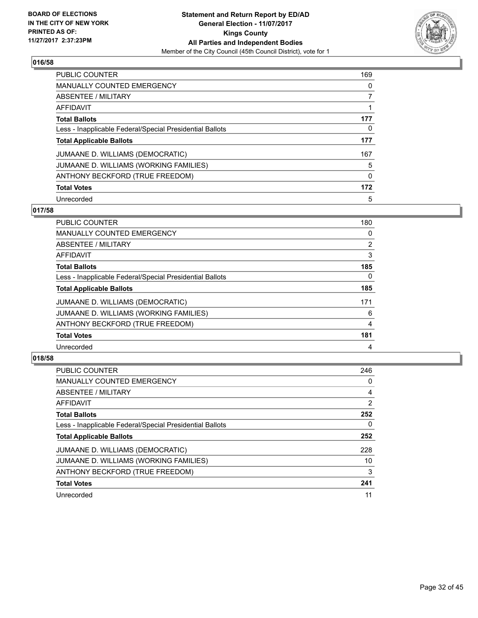

| PUBLIC COUNTER                                           | 169 |
|----------------------------------------------------------|-----|
| <b>MANUALLY COUNTED EMERGENCY</b>                        | 0   |
| ABSENTEE / MILITARY                                      |     |
| AFFIDAVIT                                                |     |
| <b>Total Ballots</b>                                     | 177 |
| Less - Inapplicable Federal/Special Presidential Ballots | 0   |
| <b>Total Applicable Ballots</b>                          | 177 |
| JUMAANE D. WILLIAMS (DEMOCRATIC)                         | 167 |
| JUMAANE D. WILLIAMS (WORKING FAMILIES)                   | 5   |
| ANTHONY BECKFORD (TRUE FREEDOM)                          | 0   |
| <b>Total Votes</b>                                       | 172 |
| Unrecorded                                               | 5   |

#### **017/58**

| <b>PUBLIC COUNTER</b>                                    | 180            |
|----------------------------------------------------------|----------------|
| <b>MANUALLY COUNTED EMERGENCY</b>                        | 0              |
| ABSENTEE / MILITARY                                      | $\overline{2}$ |
| <b>AFFIDAVIT</b>                                         | 3              |
| <b>Total Ballots</b>                                     | 185            |
| Less - Inapplicable Federal/Special Presidential Ballots | 0              |
| <b>Total Applicable Ballots</b>                          | 185            |
| JUMAANE D. WILLIAMS (DEMOCRATIC)                         | 171            |
| JUMAANE D. WILLIAMS (WORKING FAMILIES)                   | 6              |
| ANTHONY BECKFORD (TRUE FREEDOM)                          | 4              |
| <b>Total Votes</b>                                       | 181            |
| Unrecorded                                               | 4              |

| <b>PUBLIC COUNTER</b>                                    | 246            |
|----------------------------------------------------------|----------------|
| <b>MANUALLY COUNTED EMERGENCY</b>                        | 0              |
| ABSENTEE / MILITARY                                      | 4              |
| AFFIDAVIT                                                | $\overline{2}$ |
| <b>Total Ballots</b>                                     | 252            |
| Less - Inapplicable Federal/Special Presidential Ballots | 0              |
| <b>Total Applicable Ballots</b>                          | 252            |
| JUMAANE D. WILLIAMS (DEMOCRATIC)                         | 228            |
| JUMAANE D. WILLIAMS (WORKING FAMILIES)                   | 10             |
| ANTHONY BECKFORD (TRUE FREEDOM)                          | 3              |
| <b>Total Votes</b>                                       | 241            |
| Unrecorded                                               | 11             |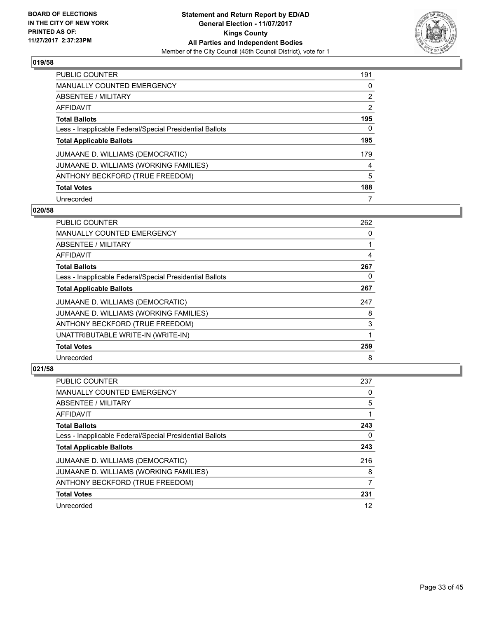

| <b>PUBLIC COUNTER</b>                                    | 191 |
|----------------------------------------------------------|-----|
| <b>MANUALLY COUNTED EMERGENCY</b>                        | 0   |
| ABSENTEE / MILITARY                                      | 2   |
| AFFIDAVIT                                                | 2   |
| <b>Total Ballots</b>                                     | 195 |
| Less - Inapplicable Federal/Special Presidential Ballots | 0   |
| <b>Total Applicable Ballots</b>                          | 195 |
| JUMAANE D. WILLIAMS (DEMOCRATIC)                         | 179 |
| JUMAANE D. WILLIAMS (WORKING FAMILIES)                   | 4   |
| ANTHONY BECKFORD (TRUE FREEDOM)                          | 5   |
| <b>Total Votes</b>                                       | 188 |
| Unrecorded                                               |     |

#### **020/58**

| PUBLIC COUNTER                                           | 262 |
|----------------------------------------------------------|-----|
| <b>MANUALLY COUNTED EMERGENCY</b>                        | 0   |
| ABSENTEE / MILITARY                                      |     |
| AFFIDAVIT                                                | 4   |
| <b>Total Ballots</b>                                     | 267 |
| Less - Inapplicable Federal/Special Presidential Ballots | 0   |
| <b>Total Applicable Ballots</b>                          | 267 |
| JUMAANE D. WILLIAMS (DEMOCRATIC)                         | 247 |
| JUMAANE D. WILLIAMS (WORKING FAMILIES)                   | 8   |
| ANTHONY BECKFORD (TRUE FREEDOM)                          | 3   |
| UNATTRIBUTABLE WRITE-IN (WRITE-IN)                       |     |
| <b>Total Votes</b>                                       | 259 |
| Unrecorded                                               | 8   |

| <b>PUBLIC COUNTER</b>                                    | 237 |
|----------------------------------------------------------|-----|
| <b>MANUALLY COUNTED EMERGENCY</b>                        | 0   |
| ABSENTEE / MILITARY                                      | 5   |
| AFFIDAVIT                                                |     |
| <b>Total Ballots</b>                                     | 243 |
| Less - Inapplicable Federal/Special Presidential Ballots | 0   |
| <b>Total Applicable Ballots</b>                          | 243 |
| JUMAANE D. WILLIAMS (DEMOCRATIC)                         | 216 |
| JUMAANE D. WILLIAMS (WORKING FAMILIES)                   | 8   |
| ANTHONY BECKFORD (TRUE FREEDOM)                          | 7   |
| <b>Total Votes</b>                                       | 231 |
| Unrecorded                                               | 12  |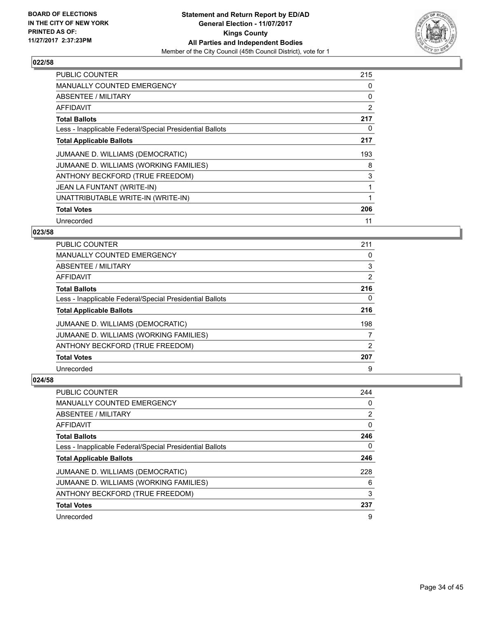

| <b>PUBLIC COUNTER</b>                                    | 215 |
|----------------------------------------------------------|-----|
| <b>MANUALLY COUNTED EMERGENCY</b>                        | 0   |
| ABSENTEE / MILITARY                                      | 0   |
| AFFIDAVIT                                                | 2   |
| <b>Total Ballots</b>                                     | 217 |
| Less - Inapplicable Federal/Special Presidential Ballots | 0   |
| <b>Total Applicable Ballots</b>                          | 217 |
| JUMAANE D. WILLIAMS (DEMOCRATIC)                         | 193 |
| JUMAANE D. WILLIAMS (WORKING FAMILIES)                   | 8   |
| ANTHONY BECKFORD (TRUE FREEDOM)                          | 3   |
| JEAN LA FUNTANT (WRITE-IN)                               | 1   |
| UNATTRIBUTABLE WRITE-IN (WRITE-IN)                       | 1   |
| <b>Total Votes</b>                                       | 206 |
| Unrecorded                                               | 11  |

# **023/58**

| PUBLIC COUNTER                                           | 211            |
|----------------------------------------------------------|----------------|
| <b>MANUALLY COUNTED EMERGENCY</b>                        | 0              |
| ABSENTEE / MILITARY                                      | 3              |
| AFFIDAVIT                                                | $\overline{2}$ |
| <b>Total Ballots</b>                                     | 216            |
| Less - Inapplicable Federal/Special Presidential Ballots | 0              |
| <b>Total Applicable Ballots</b>                          | 216            |
| JUMAANE D. WILLIAMS (DEMOCRATIC)                         | 198            |
| JUMAANE D. WILLIAMS (WORKING FAMILIES)                   | 7              |
| ANTHONY BECKFORD (TRUE FREEDOM)                          | 2              |
| <b>Total Votes</b>                                       | 207            |
| Unrecorded                                               | 9              |

| <b>PUBLIC COUNTER</b>                                    | 244 |
|----------------------------------------------------------|-----|
| <b>MANUALLY COUNTED EMERGENCY</b>                        | 0   |
| ABSENTEE / MILITARY                                      | 2   |
| AFFIDAVIT                                                | 0   |
| <b>Total Ballots</b>                                     | 246 |
| Less - Inapplicable Federal/Special Presidential Ballots | 0   |
| <b>Total Applicable Ballots</b>                          | 246 |
| JUMAANE D. WILLIAMS (DEMOCRATIC)                         | 228 |
| JUMAANE D. WILLIAMS (WORKING FAMILIES)                   | 6   |
| ANTHONY BECKFORD (TRUE FREEDOM)                          | 3   |
| <b>Total Votes</b>                                       | 237 |
| Unrecorded                                               | 9   |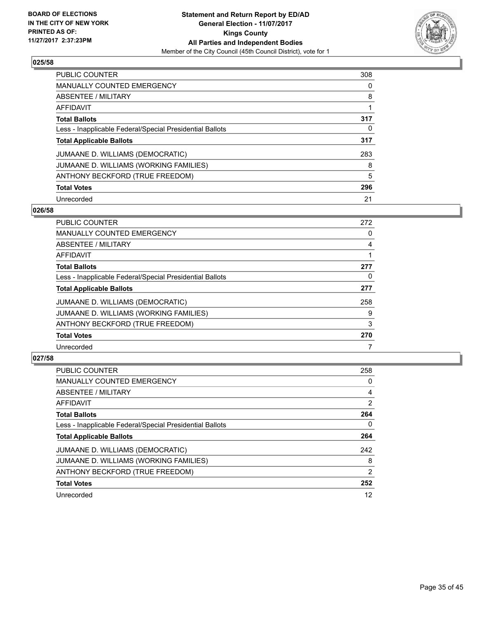

| <b>PUBLIC COUNTER</b>                                    | 308 |
|----------------------------------------------------------|-----|
| <b>MANUALLY COUNTED EMERGENCY</b>                        | 0   |
| ABSENTEE / MILITARY                                      | 8   |
| AFFIDAVIT                                                |     |
| <b>Total Ballots</b>                                     | 317 |
| Less - Inapplicable Federal/Special Presidential Ballots | 0   |
| <b>Total Applicable Ballots</b>                          | 317 |
| JUMAANE D. WILLIAMS (DEMOCRATIC)                         | 283 |
| JUMAANE D. WILLIAMS (WORKING FAMILIES)                   | 8   |
| ANTHONY BECKFORD (TRUE FREEDOM)                          | 5   |
| <b>Total Votes</b>                                       | 296 |
| Unrecorded                                               | 21  |

#### **026/58**

| <b>PUBLIC COUNTER</b>                                    | 272 |
|----------------------------------------------------------|-----|
| <b>MANUALLY COUNTED EMERGENCY</b>                        | 0   |
| ABSENTEE / MILITARY                                      | 4   |
| <b>AFFIDAVIT</b>                                         |     |
| <b>Total Ballots</b>                                     | 277 |
| Less - Inapplicable Federal/Special Presidential Ballots | 0   |
| <b>Total Applicable Ballots</b>                          | 277 |
| JUMAANE D. WILLIAMS (DEMOCRATIC)                         | 258 |
| JUMAANE D. WILLIAMS (WORKING FAMILIES)                   | 9   |
| ANTHONY BECKFORD (TRUE FREEDOM)                          | 3   |
| <b>Total Votes</b>                                       | 270 |
| Unrecorded                                               |     |

| PUBLIC COUNTER                                           | 258            |
|----------------------------------------------------------|----------------|
| <b>MANUALLY COUNTED EMERGENCY</b>                        | 0              |
| ABSENTEE / MILITARY                                      | 4              |
| AFFIDAVIT                                                | $\overline{2}$ |
| <b>Total Ballots</b>                                     | 264            |
| Less - Inapplicable Federal/Special Presidential Ballots | 0              |
| <b>Total Applicable Ballots</b>                          | 264            |
| JUMAANE D. WILLIAMS (DEMOCRATIC)                         | 242            |
| JUMAANE D. WILLIAMS (WORKING FAMILIES)                   | 8              |
| ANTHONY BECKFORD (TRUE FREEDOM)                          | 2              |
| <b>Total Votes</b>                                       | 252            |
| Unrecorded                                               | 12             |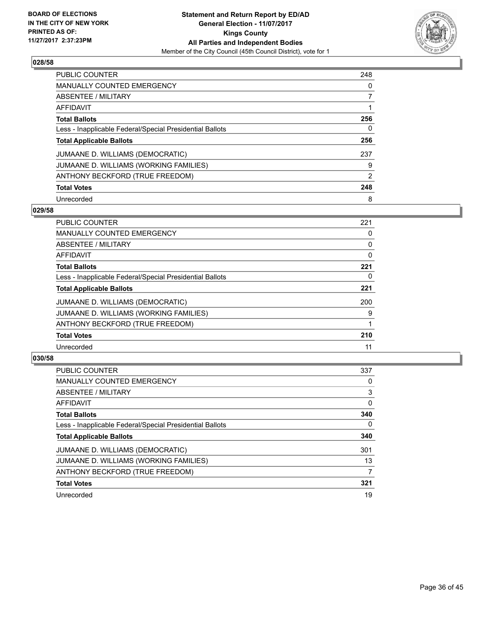

| <b>PUBLIC COUNTER</b>                                    | 248 |
|----------------------------------------------------------|-----|
| <b>MANUALLY COUNTED EMERGENCY</b>                        | 0   |
| ABSENTEE / MILITARY                                      |     |
| AFFIDAVIT                                                |     |
| <b>Total Ballots</b>                                     | 256 |
| Less - Inapplicable Federal/Special Presidential Ballots | 0   |
| <b>Total Applicable Ballots</b>                          | 256 |
| JUMAANE D. WILLIAMS (DEMOCRATIC)                         | 237 |
| JUMAANE D. WILLIAMS (WORKING FAMILIES)                   | 9   |
| ANTHONY BECKFORD (TRUE FREEDOM)                          | 2   |
| <b>Total Votes</b>                                       | 248 |
| Unrecorded                                               | 8   |

#### **029/58**

| <b>PUBLIC COUNTER</b>                                    | 221 |
|----------------------------------------------------------|-----|
| <b>MANUALLY COUNTED EMERGENCY</b>                        | 0   |
| ABSENTEE / MILITARY                                      | 0   |
| <b>AFFIDAVIT</b>                                         | 0   |
| <b>Total Ballots</b>                                     | 221 |
| Less - Inapplicable Federal/Special Presidential Ballots | 0   |
| <b>Total Applicable Ballots</b>                          | 221 |
| JUMAANE D. WILLIAMS (DEMOCRATIC)                         | 200 |
| JUMAANE D. WILLIAMS (WORKING FAMILIES)                   | 9   |
| ANTHONY BECKFORD (TRUE FREEDOM)                          |     |
| <b>Total Votes</b>                                       | 210 |
| Unrecorded                                               | 11  |

| <b>PUBLIC COUNTER</b>                                    | 337 |
|----------------------------------------------------------|-----|
| MANUALLY COUNTED EMERGENCY                               | 0   |
| ABSENTEE / MILITARY                                      | 3   |
| AFFIDAVIT                                                | 0   |
| <b>Total Ballots</b>                                     | 340 |
| Less - Inapplicable Federal/Special Presidential Ballots | 0   |
| <b>Total Applicable Ballots</b>                          | 340 |
| JUMAANE D. WILLIAMS (DEMOCRATIC)                         | 301 |
| JUMAANE D. WILLIAMS (WORKING FAMILIES)                   | 13  |
| ANTHONY BECKFORD (TRUE FREEDOM)                          | 7   |
| <b>Total Votes</b>                                       | 321 |
| Unrecorded                                               | 19  |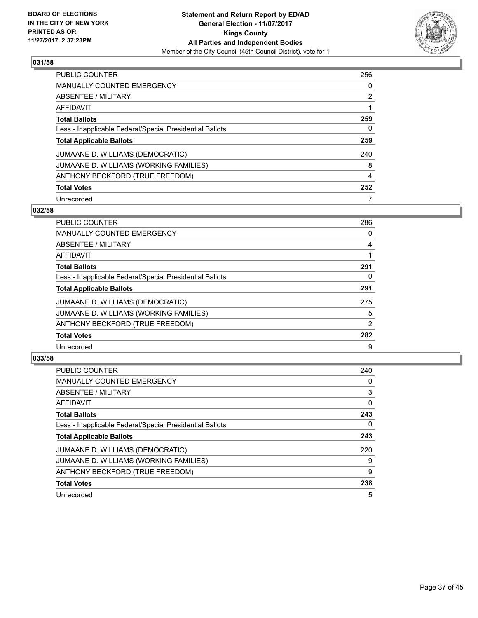

| <b>PUBLIC COUNTER</b>                                    | 256            |
|----------------------------------------------------------|----------------|
| <b>MANUALLY COUNTED EMERGENCY</b>                        | 0              |
| ABSENTEE / MILITARY                                      | $\overline{2}$ |
| AFFIDAVIT                                                |                |
| <b>Total Ballots</b>                                     | 259            |
| Less - Inapplicable Federal/Special Presidential Ballots | 0              |
| <b>Total Applicable Ballots</b>                          | 259            |
| JUMAANE D. WILLIAMS (DEMOCRATIC)                         | 240            |
| JUMAANE D. WILLIAMS (WORKING FAMILIES)                   | 8              |
| ANTHONY BECKFORD (TRUE FREEDOM)                          | 4              |
| <b>Total Votes</b>                                       | 252            |
| Unrecorded                                               |                |

#### **032/58**

| <b>PUBLIC COUNTER</b>                                    | 286 |
|----------------------------------------------------------|-----|
| <b>MANUALLY COUNTED EMERGENCY</b>                        | 0   |
| ABSENTEE / MILITARY                                      | 4   |
| <b>AFFIDAVIT</b>                                         |     |
| <b>Total Ballots</b>                                     | 291 |
| Less - Inapplicable Federal/Special Presidential Ballots | 0   |
| <b>Total Applicable Ballots</b>                          | 291 |
| JUMAANE D. WILLIAMS (DEMOCRATIC)                         | 275 |
| JUMAANE D. WILLIAMS (WORKING FAMILIES)                   | 5   |
| ANTHONY BECKFORD (TRUE FREEDOM)                          | 2   |
| <b>Total Votes</b>                                       | 282 |
| Unrecorded                                               | 9   |

| PUBLIC COUNTER                                           | 240 |
|----------------------------------------------------------|-----|
| <b>MANUALLY COUNTED EMERGENCY</b>                        | 0   |
| ABSENTEE / MILITARY                                      | 3   |
| AFFIDAVIT                                                | 0   |
| <b>Total Ballots</b>                                     | 243 |
| Less - Inapplicable Federal/Special Presidential Ballots | 0   |
| <b>Total Applicable Ballots</b>                          | 243 |
| JUMAANE D. WILLIAMS (DEMOCRATIC)                         | 220 |
| JUMAANE D. WILLIAMS (WORKING FAMILIES)                   | 9   |
| ANTHONY BECKFORD (TRUE FREEDOM)                          | 9   |
| <b>Total Votes</b>                                       | 238 |
| Unrecorded                                               | 5   |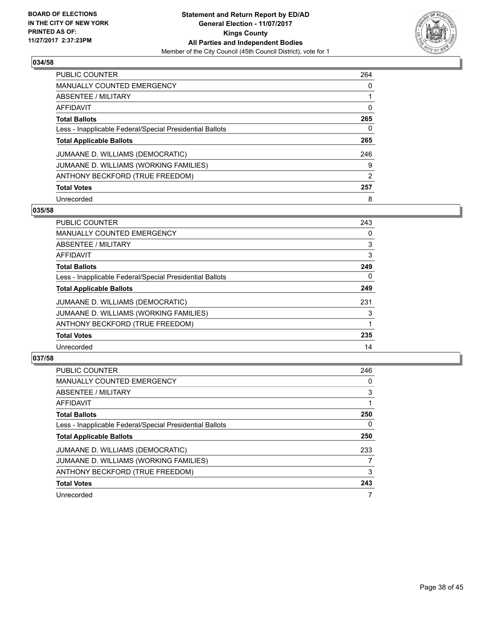

| <b>PUBLIC COUNTER</b>                                    | 264 |
|----------------------------------------------------------|-----|
| <b>MANUALLY COUNTED EMERGENCY</b>                        | 0   |
| ABSENTEE / MILITARY                                      |     |
| AFFIDAVIT                                                | 0   |
| <b>Total Ballots</b>                                     | 265 |
| Less - Inapplicable Federal/Special Presidential Ballots | 0   |
| <b>Total Applicable Ballots</b>                          | 265 |
| JUMAANE D. WILLIAMS (DEMOCRATIC)                         | 246 |
| JUMAANE D. WILLIAMS (WORKING FAMILIES)                   | 9   |
| ANTHONY BECKFORD (TRUE FREEDOM)                          | 2   |
| <b>Total Votes</b>                                       | 257 |
| Unrecorded                                               | 8   |

#### **035/58**

| <b>PUBLIC COUNTER</b>                                    | 243 |
|----------------------------------------------------------|-----|
| <b>MANUALLY COUNTED EMERGENCY</b>                        | 0   |
| ABSENTEE / MILITARY                                      | 3   |
| <b>AFFIDAVIT</b>                                         | 3   |
| <b>Total Ballots</b>                                     | 249 |
| Less - Inapplicable Federal/Special Presidential Ballots | 0   |
| <b>Total Applicable Ballots</b>                          | 249 |
| JUMAANE D. WILLIAMS (DEMOCRATIC)                         | 231 |
| JUMAANE D. WILLIAMS (WORKING FAMILIES)                   | 3   |
| ANTHONY BECKFORD (TRUE FREEDOM)                          |     |
| <b>Total Votes</b>                                       | 235 |
| Unrecorded                                               | 14  |

| <b>PUBLIC COUNTER</b>                                    | 246 |
|----------------------------------------------------------|-----|
| <b>MANUALLY COUNTED EMERGENCY</b>                        | 0   |
| ABSENTEE / MILITARY                                      | 3   |
| AFFIDAVIT                                                |     |
| <b>Total Ballots</b>                                     | 250 |
| Less - Inapplicable Federal/Special Presidential Ballots | 0   |
| <b>Total Applicable Ballots</b>                          | 250 |
| JUMAANE D. WILLIAMS (DEMOCRATIC)                         | 233 |
| JUMAANE D. WILLIAMS (WORKING FAMILIES)                   |     |
| ANTHONY BECKFORD (TRUE FREEDOM)                          | 3   |
| <b>Total Votes</b>                                       | 243 |
| Unrecorded                                               |     |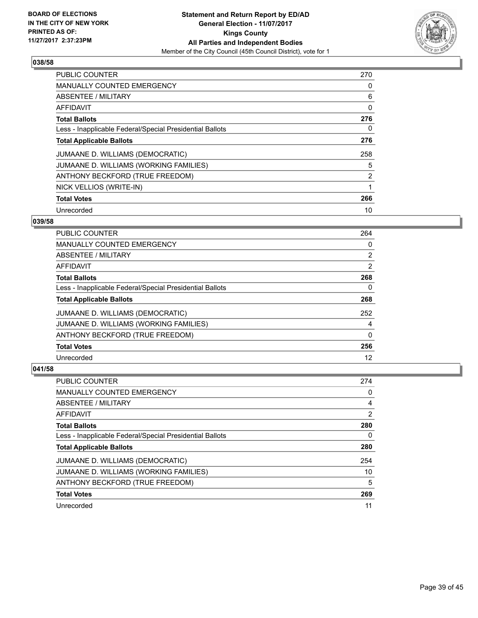

| <b>PUBLIC COUNTER</b>                                    | 270 |
|----------------------------------------------------------|-----|
| <b>MANUALLY COUNTED EMERGENCY</b>                        | 0   |
| ABSENTEE / MILITARY                                      | 6   |
| <b>AFFIDAVIT</b>                                         | 0   |
| <b>Total Ballots</b>                                     | 276 |
| Less - Inapplicable Federal/Special Presidential Ballots | 0   |
| <b>Total Applicable Ballots</b>                          | 276 |
| JUMAANE D. WILLIAMS (DEMOCRATIC)                         | 258 |
| JUMAANE D. WILLIAMS (WORKING FAMILIES)                   | 5   |
| ANTHONY BECKFORD (TRUE FREEDOM)                          | 2   |
| NICK VELLIOS (WRITE-IN)                                  |     |
| <b>Total Votes</b>                                       | 266 |
| Unrecorded                                               | 10  |

## **039/58**

| <b>PUBLIC COUNTER</b>                                    | 264            |
|----------------------------------------------------------|----------------|
| <b>MANUALLY COUNTED EMERGENCY</b>                        | 0              |
| ABSENTEE / MILITARY                                      | $\overline{2}$ |
| <b>AFFIDAVIT</b>                                         | 2              |
| <b>Total Ballots</b>                                     | 268            |
| Less - Inapplicable Federal/Special Presidential Ballots | 0              |
| <b>Total Applicable Ballots</b>                          | 268            |
| JUMAANE D. WILLIAMS (DEMOCRATIC)                         | 252            |
| JUMAANE D. WILLIAMS (WORKING FAMILIES)                   | 4              |
| ANTHONY BECKFORD (TRUE FREEDOM)                          | 0              |
| <b>Total Votes</b>                                       | 256            |
| Unrecorded                                               | 12             |

| <b>PUBLIC COUNTER</b>                                    | 274 |
|----------------------------------------------------------|-----|
| <b>MANUALLY COUNTED EMERGENCY</b>                        | 0   |
| ABSENTEE / MILITARY                                      | 4   |
| AFFIDAVIT                                                | 2   |
| <b>Total Ballots</b>                                     | 280 |
| Less - Inapplicable Federal/Special Presidential Ballots | 0   |
| <b>Total Applicable Ballots</b>                          | 280 |
|                                                          |     |
| JUMAANE D. WILLIAMS (DEMOCRATIC)                         | 254 |
| JUMAANE D. WILLIAMS (WORKING FAMILIES)                   | 10  |
| ANTHONY BECKFORD (TRUE FREEDOM)                          | 5   |
| <b>Total Votes</b>                                       | 269 |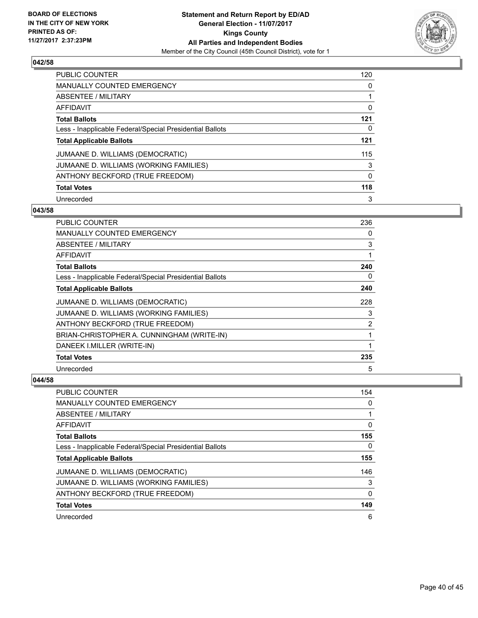

| <b>PUBLIC COUNTER</b>                                    | 120 |
|----------------------------------------------------------|-----|
| <b>MANUALLY COUNTED EMERGENCY</b>                        | 0   |
| ABSENTEE / MILITARY                                      |     |
| AFFIDAVIT                                                | 0   |
| <b>Total Ballots</b>                                     | 121 |
| Less - Inapplicable Federal/Special Presidential Ballots | 0   |
| <b>Total Applicable Ballots</b>                          | 121 |
| JUMAANE D. WILLIAMS (DEMOCRATIC)                         | 115 |
| JUMAANE D. WILLIAMS (WORKING FAMILIES)                   | 3   |
| ANTHONY BECKFORD (TRUE FREEDOM)                          | 0   |
| <b>Total Votes</b>                                       | 118 |
| Unrecorded                                               | 3   |

#### **043/58**

| <b>PUBLIC COUNTER</b>                                    | 236 |
|----------------------------------------------------------|-----|
| <b>MANUALLY COUNTED EMERGENCY</b>                        | 0   |
| ABSENTEE / MILITARY                                      | 3   |
| AFFIDAVIT                                                | 1   |
| <b>Total Ballots</b>                                     | 240 |
| Less - Inapplicable Federal/Special Presidential Ballots | 0   |
| <b>Total Applicable Ballots</b>                          | 240 |
| JUMAANE D. WILLIAMS (DEMOCRATIC)                         | 228 |
| JUMAANE D. WILLIAMS (WORKING FAMILIES)                   | 3   |
| ANTHONY BECKFORD (TRUE FREEDOM)                          | 2   |
| BRIAN-CHRISTOPHER A. CUNNINGHAM (WRITE-IN)               | 1   |
| DANEEK I.MILLER (WRITE-IN)                               |     |
| <b>Total Votes</b>                                       | 235 |
| Unrecorded                                               | 5   |

| <b>PUBLIC COUNTER</b>                                    | 154 |
|----------------------------------------------------------|-----|
| <b>MANUALLY COUNTED EMERGENCY</b>                        | 0   |
| ABSENTEE / MILITARY                                      |     |
| AFFIDAVIT                                                | 0   |
| <b>Total Ballots</b>                                     | 155 |
| Less - Inapplicable Federal/Special Presidential Ballots | 0   |
| <b>Total Applicable Ballots</b>                          | 155 |
| JUMAANE D. WILLIAMS (DEMOCRATIC)                         | 146 |
| JUMAANE D. WILLIAMS (WORKING FAMILIES)                   | 3   |
| ANTHONY BECKFORD (TRUE FREEDOM)                          | 0   |
| <b>Total Votes</b>                                       | 149 |
| Unrecorded                                               | 6   |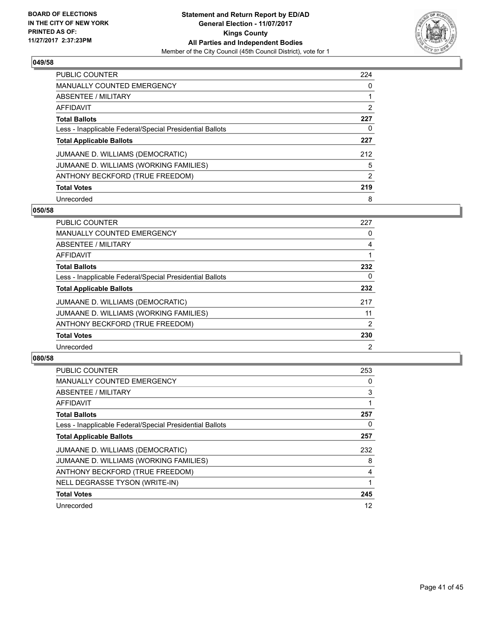

| PUBLIC COUNTER                                           | 224 |
|----------------------------------------------------------|-----|
| <b>MANUALLY COUNTED EMERGENCY</b>                        | 0   |
| ABSENTEE / MILITARY                                      |     |
| AFFIDAVIT                                                | 2   |
| <b>Total Ballots</b>                                     | 227 |
| Less - Inapplicable Federal/Special Presidential Ballots | 0   |
| <b>Total Applicable Ballots</b>                          | 227 |
| JUMAANE D. WILLIAMS (DEMOCRATIC)                         | 212 |
| JUMAANE D. WILLIAMS (WORKING FAMILIES)                   | 5   |
| ANTHONY BECKFORD (TRUE FREEDOM)                          | 2   |
| <b>Total Votes</b>                                       | 219 |
| Unrecorded                                               | 8   |

#### **050/58**

| <b>PUBLIC COUNTER</b>                                    | 227            |
|----------------------------------------------------------|----------------|
| <b>MANUALLY COUNTED EMERGENCY</b>                        | 0              |
| ABSENTEE / MILITARY                                      | 4              |
| <b>AFFIDAVIT</b>                                         |                |
| <b>Total Ballots</b>                                     | 232            |
| Less - Inapplicable Federal/Special Presidential Ballots | 0              |
| <b>Total Applicable Ballots</b>                          | 232            |
| JUMAANE D. WILLIAMS (DEMOCRATIC)                         | 217            |
| JUMAANE D. WILLIAMS (WORKING FAMILIES)                   | 11             |
| ANTHONY BECKFORD (TRUE FREEDOM)                          | 2              |
| <b>Total Votes</b>                                       | 230            |
| Unrecorded                                               | $\overline{2}$ |

| PUBLIC COUNTER                                           | 253 |
|----------------------------------------------------------|-----|
| <b>MANUALLY COUNTED EMERGENCY</b>                        | 0   |
| ABSENTEE / MILITARY                                      | 3   |
| AFFIDAVIT                                                | 1   |
| <b>Total Ballots</b>                                     | 257 |
| Less - Inapplicable Federal/Special Presidential Ballots | 0   |
| <b>Total Applicable Ballots</b>                          | 257 |
| JUMAANE D. WILLIAMS (DEMOCRATIC)                         | 232 |
| JUMAANE D. WILLIAMS (WORKING FAMILIES)                   | 8   |
| ANTHONY BECKFORD (TRUE FREEDOM)                          | 4   |
| NELL DEGRASSE TYSON (WRITE-IN)                           |     |
| <b>Total Votes</b>                                       | 245 |
| Unrecorded                                               | 12  |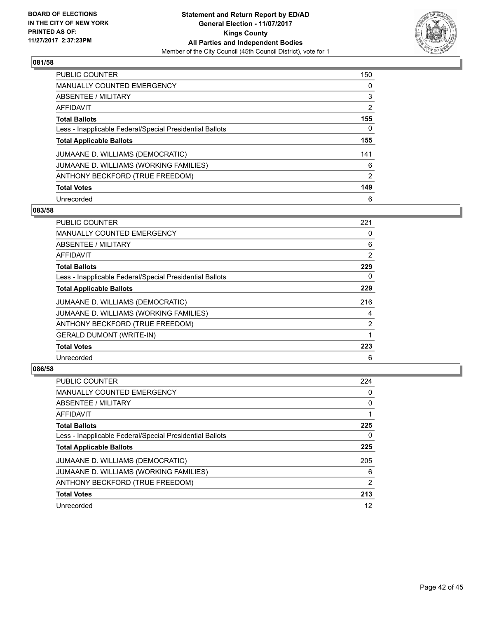

| <b>PUBLIC COUNTER</b>                                    | 150 |
|----------------------------------------------------------|-----|
| <b>MANUALLY COUNTED EMERGENCY</b>                        | 0   |
| ABSENTEE / MILITARY                                      | 3   |
| AFFIDAVIT                                                | 2   |
| <b>Total Ballots</b>                                     | 155 |
| Less - Inapplicable Federal/Special Presidential Ballots | 0   |
| <b>Total Applicable Ballots</b>                          | 155 |
| JUMAANE D. WILLIAMS (DEMOCRATIC)                         | 141 |
| JUMAANE D. WILLIAMS (WORKING FAMILIES)                   | 6   |
| ANTHONY BECKFORD (TRUE FREEDOM)                          | 2   |
| <b>Total Votes</b>                                       | 149 |
|                                                          |     |

#### **083/58**

| PUBLIC COUNTER                                           | 221 |
|----------------------------------------------------------|-----|
| <b>MANUALLY COUNTED EMERGENCY</b>                        | 0   |
| ABSENTEE / MILITARY                                      | 6   |
| AFFIDAVIT                                                | 2   |
| <b>Total Ballots</b>                                     | 229 |
| Less - Inapplicable Federal/Special Presidential Ballots | 0   |
| <b>Total Applicable Ballots</b>                          | 229 |
| JUMAANE D. WILLIAMS (DEMOCRATIC)                         | 216 |
| JUMAANE D. WILLIAMS (WORKING FAMILIES)                   | 4   |
| ANTHONY BECKFORD (TRUE FREEDOM)                          | 2   |
| <b>GERALD DUMONT (WRITE-IN)</b>                          |     |
| <b>Total Votes</b>                                       | 223 |
| Unrecorded                                               | 6   |

| PUBLIC COUNTER                                           | 224 |
|----------------------------------------------------------|-----|
| <b>MANUALLY COUNTED EMERGENCY</b>                        | 0   |
| ABSENTEE / MILITARY                                      | 0   |
| AFFIDAVIT                                                |     |
| <b>Total Ballots</b>                                     | 225 |
| Less - Inapplicable Federal/Special Presidential Ballots | 0   |
| <b>Total Applicable Ballots</b>                          | 225 |
| JUMAANE D. WILLIAMS (DEMOCRATIC)                         | 205 |
| JUMAANE D. WILLIAMS (WORKING FAMILIES)                   | 6   |
| ANTHONY BECKFORD (TRUE FREEDOM)                          | 2   |
|                                                          |     |
| <b>Total Votes</b>                                       | 213 |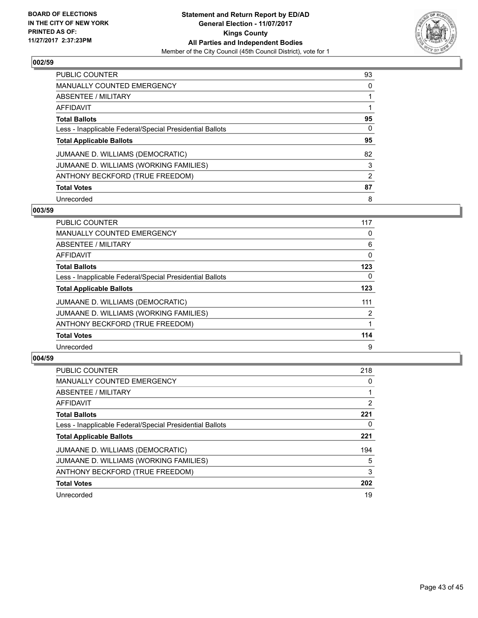

| <b>PUBLIC COUNTER</b>                                    | 93 |
|----------------------------------------------------------|----|
| <b>MANUALLY COUNTED EMERGENCY</b>                        | 0  |
| ABSENTEE / MILITARY                                      |    |
| AFFIDAVIT                                                |    |
| <b>Total Ballots</b>                                     | 95 |
| Less - Inapplicable Federal/Special Presidential Ballots | 0  |
| <b>Total Applicable Ballots</b>                          | 95 |
| JUMAANE D. WILLIAMS (DEMOCRATIC)                         | 82 |
| JUMAANE D. WILLIAMS (WORKING FAMILIES)                   | 3  |
| ANTHONY BECKFORD (TRUE FREEDOM)                          | 2  |
| <b>Total Votes</b>                                       | 87 |
| Unrecorded                                               | 8  |

#### **003/59**

| <b>PUBLIC COUNTER</b>                                    | 117 |
|----------------------------------------------------------|-----|
| <b>MANUALLY COUNTED EMERGENCY</b>                        | 0   |
| ABSENTEE / MILITARY                                      | 6   |
| <b>AFFIDAVIT</b>                                         | 0   |
| <b>Total Ballots</b>                                     | 123 |
| Less - Inapplicable Federal/Special Presidential Ballots | 0   |
| <b>Total Applicable Ballots</b>                          | 123 |
| JUMAANE D. WILLIAMS (DEMOCRATIC)                         | 111 |
| JUMAANE D. WILLIAMS (WORKING FAMILIES)                   | 2   |
| ANTHONY BECKFORD (TRUE FREEDOM)                          |     |
| <b>Total Votes</b>                                       | 114 |
| Unrecorded                                               | 9   |

| PUBLIC COUNTER                                           | 218 |
|----------------------------------------------------------|-----|
| <b>MANUALLY COUNTED EMERGENCY</b>                        | 0   |
| ABSENTEE / MILITARY                                      |     |
| AFFIDAVIT                                                | 2   |
| <b>Total Ballots</b>                                     | 221 |
| Less - Inapplicable Federal/Special Presidential Ballots | 0   |
| <b>Total Applicable Ballots</b>                          | 221 |
| JUMAANE D. WILLIAMS (DEMOCRATIC)                         | 194 |
| JUMAANE D. WILLIAMS (WORKING FAMILIES)                   | 5   |
| ANTHONY BECKFORD (TRUE FREEDOM)                          | 3   |
| <b>Total Votes</b>                                       | 202 |
| Unrecorded                                               | 19  |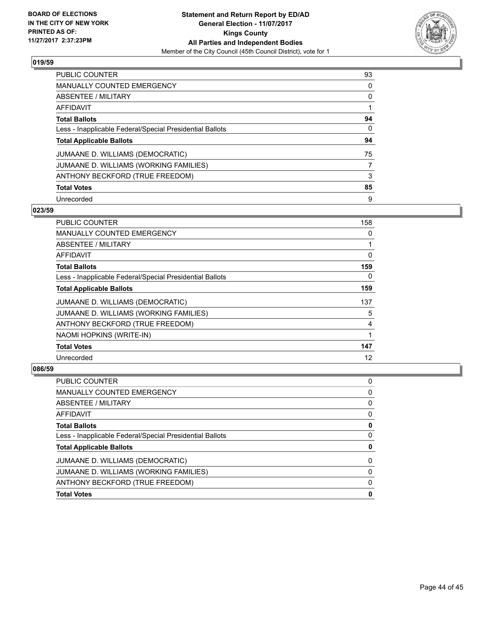

| <b>PUBLIC COUNTER</b>                                    | 93 |
|----------------------------------------------------------|----|
| <b>MANUALLY COUNTED EMERGENCY</b>                        | 0  |
| ABSENTEE / MILITARY                                      | 0  |
| AFFIDAVIT                                                |    |
| <b>Total Ballots</b>                                     | 94 |
| Less - Inapplicable Federal/Special Presidential Ballots | 0  |
| <b>Total Applicable Ballots</b>                          | 94 |
| JUMAANE D. WILLIAMS (DEMOCRATIC)                         | 75 |
| JUMAANE D. WILLIAMS (WORKING FAMILIES)                   | 7  |
|                                                          |    |
| ANTHONY BECKFORD (TRUE FREEDOM)                          | 3  |
| <b>Total Votes</b>                                       | 85 |

#### **023/59**

| PUBLIC COUNTER                                           | 158 |
|----------------------------------------------------------|-----|
| <b>MANUALLY COUNTED EMERGENCY</b>                        | 0   |
| ABSENTEE / MILITARY                                      | 1   |
| AFFIDAVIT                                                | 0   |
| <b>Total Ballots</b>                                     | 159 |
| Less - Inapplicable Federal/Special Presidential Ballots | 0   |
| <b>Total Applicable Ballots</b>                          | 159 |
| JUMAANE D. WILLIAMS (DEMOCRATIC)                         | 137 |
| JUMAANE D. WILLIAMS (WORKING FAMILIES)                   | 5   |
| ANTHONY BECKFORD (TRUE FREEDOM)                          | 4   |
| NAOMI HOPKINS (WRITE-IN)                                 | 1   |
| <b>Total Votes</b>                                       | 147 |
| Unrecorded                                               | 12  |

| <b>PUBLIC COUNTER</b>                                    | 0 |
|----------------------------------------------------------|---|
| MANUALLY COUNTED EMERGENCY                               | 0 |
| <b>ABSENTEE / MILITARY</b>                               | 0 |
| AFFIDAVIT                                                | 0 |
| <b>Total Ballots</b>                                     | 0 |
| Less - Inapplicable Federal/Special Presidential Ballots | 0 |
| <b>Total Applicable Ballots</b>                          | 0 |
| JUMAANE D. WILLIAMS (DEMOCRATIC)                         | 0 |
| JUMAANE D. WILLIAMS (WORKING FAMILIES)                   | 0 |
| ANTHONY BECKFORD (TRUE FREEDOM)                          | 0 |
| <b>Total Votes</b>                                       | 0 |